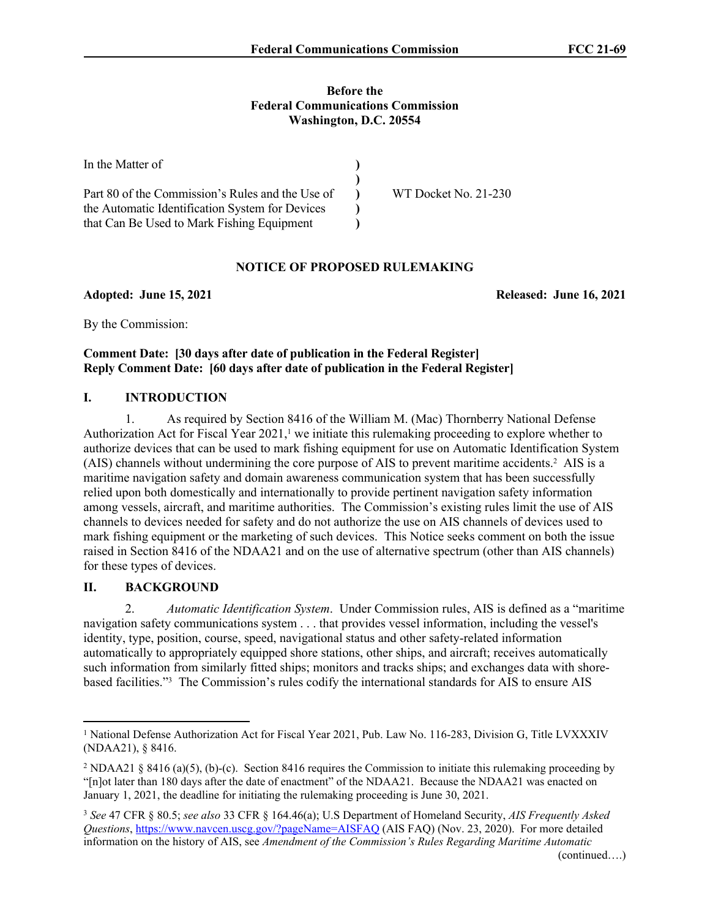#### **Before the Federal Communications Commission Washington, D.C. 20554**

| In the Matter of                                 |                      |
|--------------------------------------------------|----------------------|
|                                                  |                      |
| Part 80 of the Commission's Rules and the Use of | WT Docket No. 21-230 |
| the Automatic Identification System for Devices  |                      |
| that Can Be Used to Mark Fishing Equipment       |                      |

## **NOTICE OF PROPOSED RULEMAKING**

**Adopted: June 15, 2021 Released: June 16, 2021**

By the Commission:

## **Comment Date: [30 days after date of publication in the Federal Register] Reply Comment Date: [60 days after date of publication in the Federal Register]**

## **I. INTRODUCTION**

1. As required by Section 8416 of the William M. (Mac) Thornberry National Defense Authorization Act for Fiscal Year 2021,<sup>1</sup> we initiate this rulemaking proceeding to explore whether to authorize devices that can be used to mark fishing equipment for use on Automatic Identification System (AIS) channels without undermining the core purpose of AIS to prevent maritime accidents.<sup>2</sup> AIS is a maritime navigation safety and domain awareness communication system that has been successfully relied upon both domestically and internationally to provide pertinent navigation safety information among vessels, aircraft, and maritime authorities. The Commission's existing rules limit the use of AIS channels to devices needed for safety and do not authorize the use on AIS channels of devices used to mark fishing equipment or the marketing of such devices. This Notice seeks comment on both the issue raised in Section 8416 of the NDAA21 and on the use of alternative spectrum (other than AIS channels) for these types of devices.

## **II. BACKGROUND**

2. *Automatic Identification System*. Under Commission rules, AIS is defined as a "maritime navigation safety communications system . . . that provides vessel information, including the vessel's identity, type, position, course, speed, navigational status and other safety-related information automatically to appropriately equipped shore stations, other ships, and aircraft; receives automatically such information from similarly fitted ships; monitors and tracks ships; and exchanges data with shorebased facilities."<sup>3</sup> The Commission's rules codify the international standards for AIS to ensure AIS

<sup>&</sup>lt;sup>1</sup> National Defense Authorization Act for Fiscal Year 2021, Pub. Law No. 116-283, Division G, Title LVXXXIV (NDAA21), § 8416.

<sup>&</sup>lt;sup>2</sup> NDAA21 § 8416 (a)(5), (b)-(c). Section 8416 requires the Commission to initiate this rulemaking proceeding by "[n]ot later than 180 days after the date of enactment" of the NDAA21. Because the NDAA21 was enacted on January 1, 2021, the deadline for initiating the rulemaking proceeding is June 30, 2021.

<sup>3</sup> *See* 47 CFR § 80.5; *see also* 33 CFR § 164.46(a); U.S Department of Homeland Security, *AIS Frequently Asked Questions*, [https://www.navcen.uscg.gov/?pageName=AISFAQ](https://www.navcen.uscg.gov/?pageName=AISFAQ%20) (AIS FAQ) (Nov. 23, 2020). For more detailed information on the history of AIS, see *Amendment of the Commission's Rules Regarding Maritime Automatic*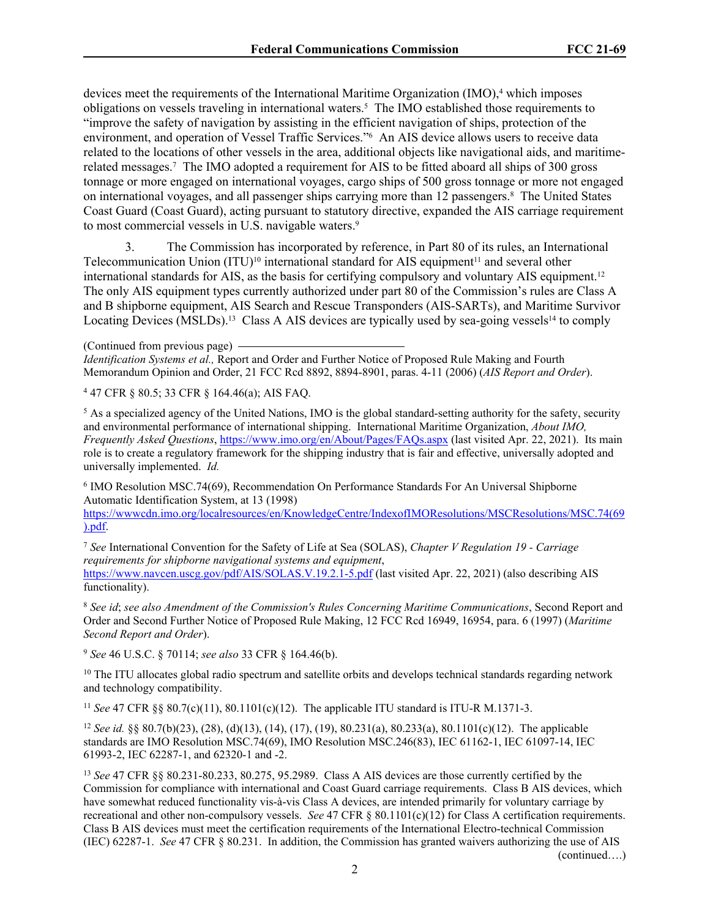devices meet the requirements of the International Maritime Organization (IMO),<sup>4</sup> which imposes obligations on vessels traveling in international waters.<sup>5</sup> The IMO established those requirements to "improve the safety of navigation by assisting in the efficient navigation of ships, protection of the environment, and operation of Vessel Traffic Services."<sup>6</sup> An AIS device allows users to receive data related to the locations of other vessels in the area, additional objects like navigational aids, and maritimerelated messages.<sup>7</sup> The IMO adopted a requirement for AIS to be fitted aboard all ships of 300 gross tonnage or more engaged on international voyages, cargo ships of 500 gross tonnage or more not engaged on international voyages, and all passenger ships carrying more than 12 passengers.<sup>8</sup> The United States Coast Guard (Coast Guard), acting pursuant to statutory directive, expanded the AIS carriage requirement to most commercial vessels in U.S. navigable waters.<sup>9</sup>

3. The Commission has incorporated by reference, in Part 80 of its rules, an International Telecommunication Union (ITU)<sup>10</sup> international standard for AIS equipment<sup>11</sup> and several other international standards for AIS, as the basis for certifying compulsory and voluntary AIS equipment.<sup>12</sup> The only AIS equipment types currently authorized under part 80 of the Commission's rules are Class A and B shipborne equipment, AIS Search and Rescue Transponders (AIS-SARTs), and Maritime Survivor Locating Devices (MSLDs).<sup>13</sup> Class A AIS devices are typically used by sea-going vessels<sup>14</sup> to comply

(Continued from previous page)

*Identification Systems et al.,* Report and Order and Further Notice of Proposed Rule Making and Fourth Memorandum Opinion and Order, 21 FCC Rcd 8892, 8894-8901, paras. 4-11 (2006) (*AIS Report and Order*).

4 47 CFR § 80.5; 33 CFR § 164.46(a); AIS FAQ.

<sup>5</sup> As a specialized agency of the United Nations, IMO is the global standard-setting authority for the safety, security and environmental performance of international shipping. International Maritime Organization, *About IMO, Frequently Asked Questions*, <https://www.imo.org/en/About/Pages/FAQs.aspx>(last visited Apr. 22, 2021). Its main role is to create a regulatory framework for the shipping industry that is fair and effective, universally adopted and universally implemented. *Id.*

6 IMO Resolution MSC.74(69), Recommendation On Performance Standards For An Universal Shipborne Automatic Identification System, at 13 (1998)

[https://wwwcdn.imo.org/localresources/en/KnowledgeCentre/IndexofIMOResolutions/MSCResolutions/MSC.74\(69](https://wwwcdn.imo.org/localresources/en/KnowledgeCentre/IndexofIMOResolutions/MSCResolutions/MSC.74(69).pdf) [\).pdf](https://wwwcdn.imo.org/localresources/en/KnowledgeCentre/IndexofIMOResolutions/MSCResolutions/MSC.74(69).pdf).

<sup>7</sup> *See* International Convention for the Safety of Life at Sea (SOLAS), *Chapter V Regulation 19 - Carriage requirements for shipborne navigational systems and equipment*, <https://www.navcen.uscg.gov/pdf/AIS/SOLAS.V.19.2.1-5.pdf> (last visited Apr. 22, 2021) (also describing AIS functionality).

<sup>8</sup> *See id*; *see also Amendment of the Commission's Rules Concerning Maritime Communications*, Second Report and Order and Second Further Notice of Proposed Rule Making, 12 FCC Rcd 16949, 16954, para. 6 (1997) (*Maritime Second Report and Order*).

<sup>9</sup> *See* 46 U.S.C. § 70114; *see also* 33 CFR § 164.46(b).

 $10$  The ITU allocates global radio spectrum and satellite orbits and develops technical standards regarding network and technology compatibility.

<sup>11</sup> *See* 47 CFR §§ 80.7(c)(11), 80.1101(c)(12). The applicable ITU standard is ITU-R M.1371-3.

<sup>12</sup> *See id.* §§ 80.7(b)(23), (28), (d)(13), (14), (17), (19), 80.231(a), 80.233(a), 80.1101(c)(12). The applicable standards are IMO Resolution MSC.74(69), IMO Resolution MSC.246(83), IEC 61162-1, IEC 61097-14, IEC 61993-2, IEC 62287-1, and 62320-1 and -2.

<sup>13</sup> *See* 47 CFR §§ 80.231-80.233, 80.275, 95.2989. Class A AIS devices are those currently certified by the Commission for compliance with international and Coast Guard carriage requirements. Class B AIS devices, which have somewhat reduced functionality vis-à-vis Class A devices, are intended primarily for voluntary carriage by recreational and other non-compulsory vessels. *See* 47 CFR § 80.1101(c)(12) for Class A certification requirements. Class B AIS devices must meet the certification requirements of the International Electro-technical Commission (IEC) 62287-1. *See* 47 CFR § 80.231. In addition, the Commission has granted waivers authorizing the use of AIS (continued….)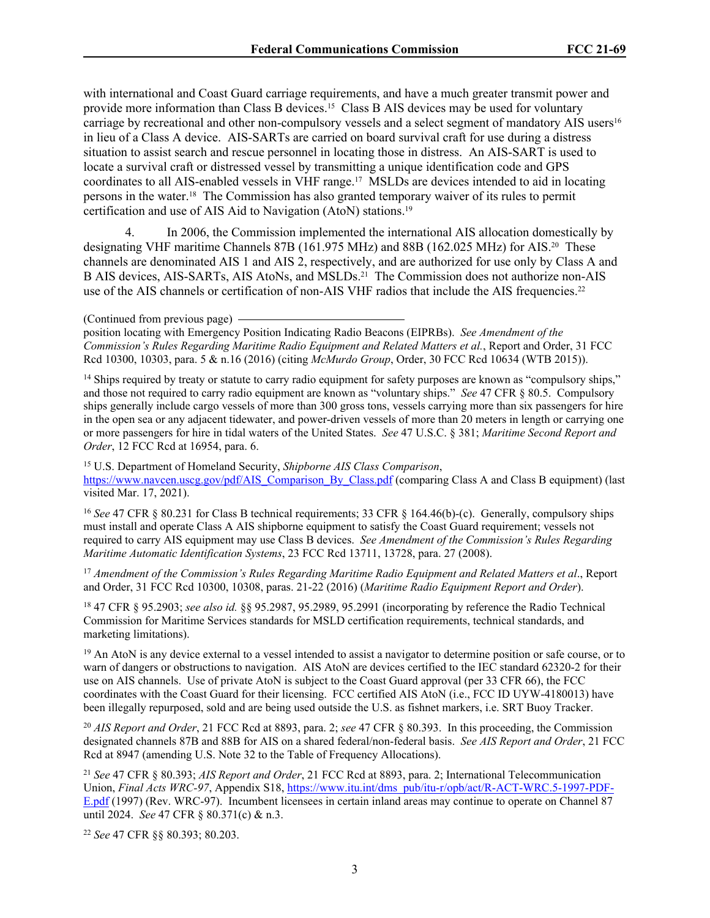with international and Coast Guard carriage requirements, and have a much greater transmit power and provide more information than Class B devices.15 Class B AIS devices may be used for voluntary carriage by recreational and other non-compulsory vessels and a select segment of mandatory AIS users<sup>16</sup> in lieu of a Class A device. AIS-SARTs are carried on board survival craft for use during a distress situation to assist search and rescue personnel in locating those in distress. An AIS-SART is used to locate a survival craft or distressed vessel by transmitting a unique identification code and GPS coordinates to all AIS-enabled vessels in VHF range.17 MSLDs are devices intended to aid in locating persons in the water.18 The Commission has also granted temporary waiver of its rules to permit certification and use of AIS Aid to Navigation (AtoN) stations.<sup>19</sup>

4. In 2006, the Commission implemented the international AIS allocation domestically by designating VHF maritime Channels 87B (161.975 MHz) and 88B (162.025 MHz) for AIS.20 These channels are denominated AIS 1 and AIS 2, respectively, and are authorized for use only by Class A and B AIS devices, AIS-SARTs, AIS AtoNs, and MSLDs.21 The Commission does not authorize non-AIS use of the AIS channels or certification of non-AIS VHF radios that include the AIS frequencies.<sup>22</sup>

position locating with Emergency Position Indicating Radio Beacons (EIPRBs). *See Amendment of the Commission's Rules Regarding Maritime Radio Equipment and Related Matters et al.*, Report and Order, 31 FCC Rcd 10300, 10303, para. 5 & n.16 (2016) (citing *McMurdo Group*, Order, 30 FCC Rcd 10634 (WTB 2015)).

<sup>14</sup> Ships required by treaty or statute to carry radio equipment for safety purposes are known as "compulsory ships," and those not required to carry radio equipment are known as "voluntary ships." *See* 47 CFR § 80.5. Compulsory ships generally include cargo vessels of more than 300 gross tons, vessels carrying more than six passengers for hire in the open sea or any adjacent tidewater, and power-driven vessels of more than 20 meters in length or carrying one or more passengers for hire in tidal waters of the United States. *See* 47 U.S.C. § 381; *Maritime Second Report and Order*, 12 FCC Rcd at 16954, para. 6.

<sup>15</sup> U.S. Department of Homeland Security, *Shipborne AIS Class Comparison*, [https://www.navcen.uscg.gov/pdf/AIS\\_Comparison\\_By\\_Class.pdf](https://www.navcen.uscg.gov/pdf/AIS_Comparison_By_Class.pdf) (comparing Class A and Class B equipment) (last visited Mar. 17, 2021).

<sup>16</sup> *See* 47 CFR § 80.231 for Class B technical requirements; 33 CFR § 164.46(b)-(c). Generally, compulsory ships must install and operate Class A AIS shipborne equipment to satisfy the Coast Guard requirement; vessels not required to carry AIS equipment may use Class B devices. *See Amendment of the Commission's Rules Regarding Maritime Automatic Identification Systems*, 23 FCC Rcd 13711, 13728, para. 27 (2008).

<sup>17</sup> *Amendment of the Commission's Rules Regarding Maritime Radio Equipment and Related Matters et al*., Report and Order, 31 FCC Rcd 10300, 10308, paras. 21-22 (2016) (*Maritime Radio Equipment Report and Order*).

<sup>18</sup> 47 CFR § 95.2903; *see also id.* §§ 95.2987, 95.2989, 95.2991 (incorporating by reference the Radio Technical Commission for Maritime Services standards for MSLD certification requirements, technical standards, and marketing limitations).

<sup>19</sup> An AtoN is any device external to a vessel intended to assist a navigator to determine position or safe course, or to warn of dangers or obstructions to navigation. AIS AtoN are devices certified to the IEC standard 62320-2 for their use on AIS channels. Use of private AtoN is subject to the Coast Guard approval (per 33 CFR 66), the FCC coordinates with the Coast Guard for their licensing. FCC certified AIS AtoN (i.e., [FCC ID UYW-4180013\)](https://fccid.io/UYW-4180013) have been illegally repurposed, sold and are being used outside the U.S. as fishnet markers, i.e. [SRT Buoy Tracker](https://srt-marine.com/product/ais-aids-navigation/buoy-trak-ais-fishing-buoy-tracking-transponder/).

<sup>20</sup> *AIS Report and Order*, 21 FCC Rcd at 8893, para. 2; *see* 47 CFR § 80.393. In this proceeding, the Commission designated channels 87B and 88B for AIS on a shared federal/non-federal basis. *See AIS Report and Order*, 21 FCC Rcd at 8947 (amending U.S. Note 32 to the Table of Frequency Allocations).

<sup>21</sup> *See* 47 CFR § 80.393; *AIS Report and Order*, 21 FCC Rcd at 8893, para. 2; International Telecommunication Union, *Final Acts WRC-97*, Appendix S18, [https://www.itu.int/dms\\_pub/itu-r/opb/act/R-ACT-WRC.5-1997-PDF-](https://www.itu.int/dms_pub/itu-r/opb/act/R-ACT-WRC.5-1997-PDF-E.pdf)[E.pdf](https://www.itu.int/dms_pub/itu-r/opb/act/R-ACT-WRC.5-1997-PDF-E.pdf) (1997) (Rev. WRC-97). Incumbent licensees in certain inland areas may continue to operate on Channel 87 until 2024. *See* 47 CFR § 80.371(c) & n.3.

<sup>22</sup> *See* 47 CFR §§ 80.393; 80.203.

<sup>(</sup>Continued from previous page)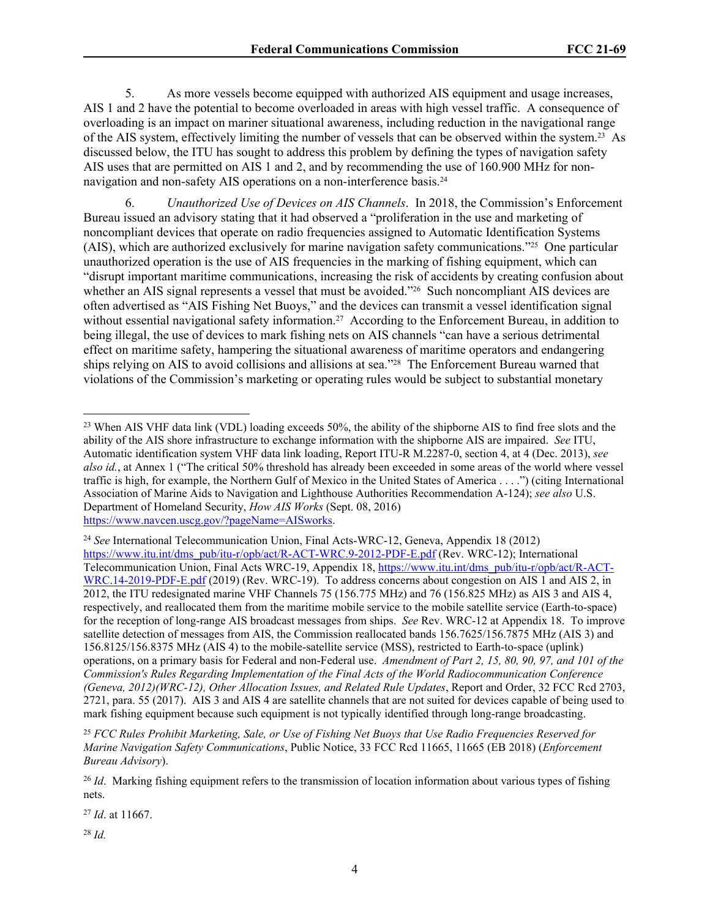5. As more vessels become equipped with authorized AIS equipment and usage increases, AIS 1 and 2 have the potential to become overloaded in areas with high vessel traffic. A consequence of overloading is an impact on mariner situational awareness, including reduction in the navigational range of the AIS system, effectively limiting the number of vessels that can be observed within the system.23 As discussed below, the ITU has sought to address this problem by defining the types of navigation safety AIS uses that are permitted on AIS 1 and 2, and by recommending the use of 160.900 MHz for nonnavigation and non-safety AIS operations on a non-interference basis.<sup>24</sup>

6. *Unauthorized Use of Devices on AIS Channels*. In 2018, the Commission's Enforcement Bureau issued an advisory stating that it had observed a "proliferation in the use and marketing of noncompliant devices that operate on radio frequencies assigned to Automatic Identification Systems (AIS), which are authorized exclusively for marine navigation safety communications."25 One particular unauthorized operation is the use of AIS frequencies in the marking of fishing equipment, which can "disrupt important maritime communications, increasing the risk of accidents by creating confusion about whether an AIS signal represents a vessel that must be avoided."<sup>26</sup> Such noncompliant AIS devices are often advertised as "AIS Fishing Net Buoys," and the devices can transmit a vessel identification signal without essential navigational safety information.<sup>27</sup> According to the Enforcement Bureau, in addition to being illegal, the use of devices to mark fishing nets on AIS channels "can have a serious detrimental effect on maritime safety, hampering the situational awareness of maritime operators and endangering ships relying on AIS to avoid collisions and allisions at sea."28 The Enforcement Bureau warned that violations of the Commission's marketing or operating rules would be subject to substantial monetary

<sup>27</sup> *Id*. at 11667.

<sup>28</sup> *Id.*

<sup>&</sup>lt;sup>23</sup> When AIS VHF data link (VDL) loading exceeds 50%, the ability of the shipborne AIS to find free slots and the ability of the AIS shore infrastructure to exchange information with the shipborne AIS are impaired. *See* ITU, Automatic identification system VHF data link loading, Report ITU-R M.2287-0, section 4, at 4 (Dec. 2013), *see also id.*, at Annex 1 ("The critical 50% threshold has already been exceeded in some areas of the world where vessel traffic is high, for example, the Northern Gulf of Mexico in the United States of America . . . .") (citing International Association of Marine Aids to Navigation and Lighthouse Authorities Recommendation A-124); *see also* U.S. Department of Homeland Security, *How AIS Works* (Sept. 08, 2016) [https://www.navcen.uscg.gov/?pageName=AISworks.](https://www.navcen.uscg.gov/?pageName=AISworks)

<sup>24</sup> *See* International Telecommunication Union, Final Acts-WRC-12, Geneva, Appendix 18 (2012) [https://www.itu.int/dms\\_pub/itu-r/opb/act/R-ACT-WRC.9-2012-PDF-E.pdf](https://www.itu.int/dms_pub/itu-r/opb/act/R-ACT-WRC.9-2012-PDF-E.pdf) (Rev. WRC-12); International Telecommunication Union, Final Acts WRC-19, Appendix 18, [https://www.itu.int/dms\\_pub/itu-r/opb/act/R-ACT-](https://www.itu.int/dms_pub/itu-r/opb/act/R-ACT-WRC.14-2019-PDF-E.pdf)[WRC.14-2019-PDF-E.pdf](https://www.itu.int/dms_pub/itu-r/opb/act/R-ACT-WRC.14-2019-PDF-E.pdf) (2019) (Rev. WRC-19). To address concerns about congestion on AIS 1 and AIS 2, in 2012, the ITU redesignated marine VHF Channels 75 (156.775 MHz) and 76 (156.825 MHz) as AIS 3 and AIS 4, respectively, and reallocated them from the maritime mobile service to the mobile satellite service (Earth-to-space) for the reception of long-range AIS broadcast messages from ships. *See* Rev. WRC-12 at Appendix 18. To improve satellite detection of messages from AIS, the Commission reallocated bands 156.7625/156.7875 MHz (AIS 3) and 156.8125/156.8375 MHz (AIS 4) to the mobile-satellite service (MSS), restricted to Earth-to-space (uplink) operations, on a primary basis for Federal and non-Federal use. *Amendment of Part 2, 15, 80, 90, 97, and 101 of the Commission's Rules Regarding Implementation of the Final Acts of the World Radiocommunication Conference (Geneva, 2012)(WRC-12), Other Allocation Issues, and Related Rule Updates*, Report and Order, 32 FCC Rcd 2703, 2721, para. 55 (2017). AIS 3 and AIS 4 are satellite channels that are not suited for devices capable of being used to mark fishing equipment because such equipment is not typically identified through long-range broadcasting.

<sup>25</sup> *FCC Rules Prohibit Marketing, Sale, or Use of Fishing Net Buoys that Use Radio Frequencies Reserved for Marine Navigation Safety Communications*, Public Notice, 33 FCC Rcd 11665, 11665 (EB 2018) (*Enforcement Bureau Advisory*).

<sup>&</sup>lt;sup>26</sup> *Id.* Marking fishing equipment refers to the transmission of location information about various types of fishing nets.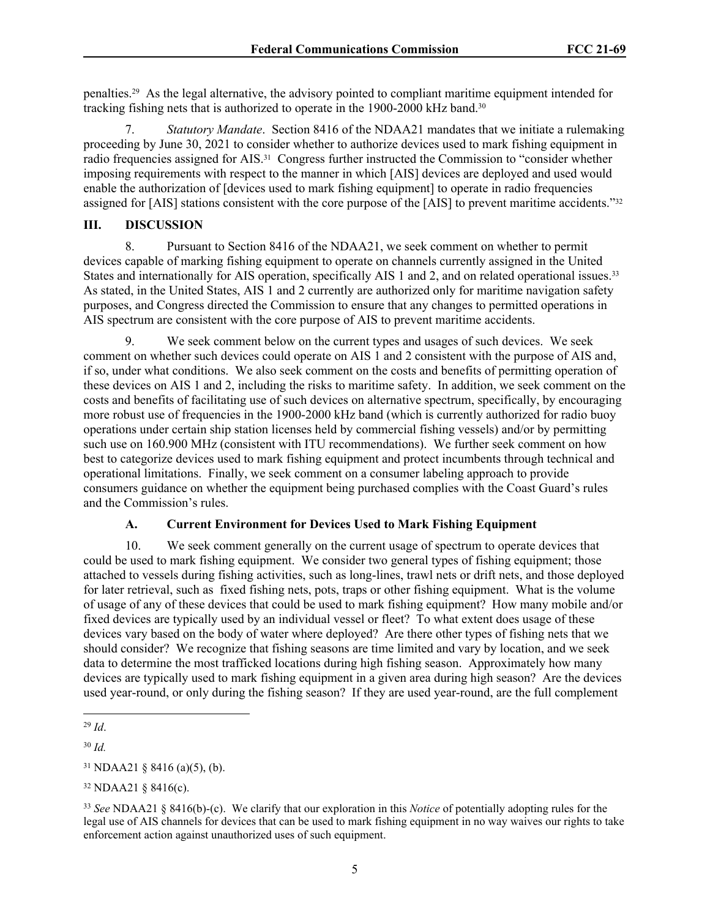penalties.29 As the legal alternative, the advisory pointed to compliant maritime equipment intended for tracking fishing nets that is authorized to operate in the 1900-2000 kHz band.<sup>30</sup>

7. *Statutory Mandate*. Section 8416 of the NDAA21 mandates that we initiate a rulemaking proceeding by June 30, 2021 to consider whether to authorize devices used to mark fishing equipment in radio frequencies assigned for AIS.<sup>31</sup> Congress further instructed the Commission to "consider whether imposing requirements with respect to the manner in which [AIS] devices are deployed and used would enable the authorization of [devices used to mark fishing equipment] to operate in radio frequencies assigned for [AIS] stations consistent with the core purpose of the [AIS] to prevent maritime accidents."<sup>32</sup>

## **III. DISCUSSION**

8. Pursuant to Section 8416 of the NDAA21, we seek comment on whether to permit devices capable of marking fishing equipment to operate on channels currently assigned in the United States and internationally for AIS operation, specifically AIS 1 and 2, and on related operational issues.<sup>33</sup> As stated, in the United States, AIS 1 and 2 currently are authorized only for maritime navigation safety purposes, and Congress directed the Commission to ensure that any changes to permitted operations in AIS spectrum are consistent with the core purpose of AIS to prevent maritime accidents.

9. We seek comment below on the current types and usages of such devices. We seek comment on whether such devices could operate on AIS 1 and 2 consistent with the purpose of AIS and, if so, under what conditions. We also seek comment on the costs and benefits of permitting operation of these devices on AIS 1 and 2, including the risks to maritime safety. In addition, we seek comment on the costs and benefits of facilitating use of such devices on alternative spectrum, specifically, by encouraging more robust use of frequencies in the 1900-2000 kHz band (which is currently authorized for radio buoy operations under certain ship station licenses held by commercial fishing vessels) and/or by permitting such use on 160.900 MHz (consistent with ITU recommendations). We further seek comment on how best to categorize devices used to mark fishing equipment and protect incumbents through technical and operational limitations. Finally, we seek comment on a consumer labeling approach to provide consumers guidance on whether the equipment being purchased complies with the Coast Guard's rules and the Commission's rules.

## **A. Current Environment for Devices Used to Mark Fishing Equipment**

10. We seek comment generally on the current usage of spectrum to operate devices that could be used to mark fishing equipment. We consider two general types of fishing equipment; those attached to vessels during fishing activities, such as long-lines, trawl nets or drift nets, and those deployed for later retrieval, such as fixed fishing nets, pots, traps or other fishing equipment. What is the volume of usage of any of these devices that could be used to mark fishing equipment? How many mobile and/or fixed devices are typically used by an individual vessel or fleet? To what extent does usage of these devices vary based on the body of water where deployed? Are there other types of fishing nets that we should consider? We recognize that fishing seasons are time limited and vary by location, and we seek data to determine the most trafficked locations during high fishing season. Approximately how many devices are typically used to mark fishing equipment in a given area during high season? Are the devices used year-round, or only during the fishing season? If they are used year-round, are the full complement

<sup>29</sup> *Id*.

<sup>30</sup> *Id.*

 $31$  NDAA21 § 8416 (a)(5), (b).

<sup>32</sup> NDAA21 § 8416(c).

<sup>33</sup> *See* NDAA21 § 8416(b)-(c). We clarify that our exploration in this *Notice* of potentially adopting rules for the legal use of AIS channels for devices that can be used to mark fishing equipment in no way waives our rights to take enforcement action against unauthorized uses of such equipment.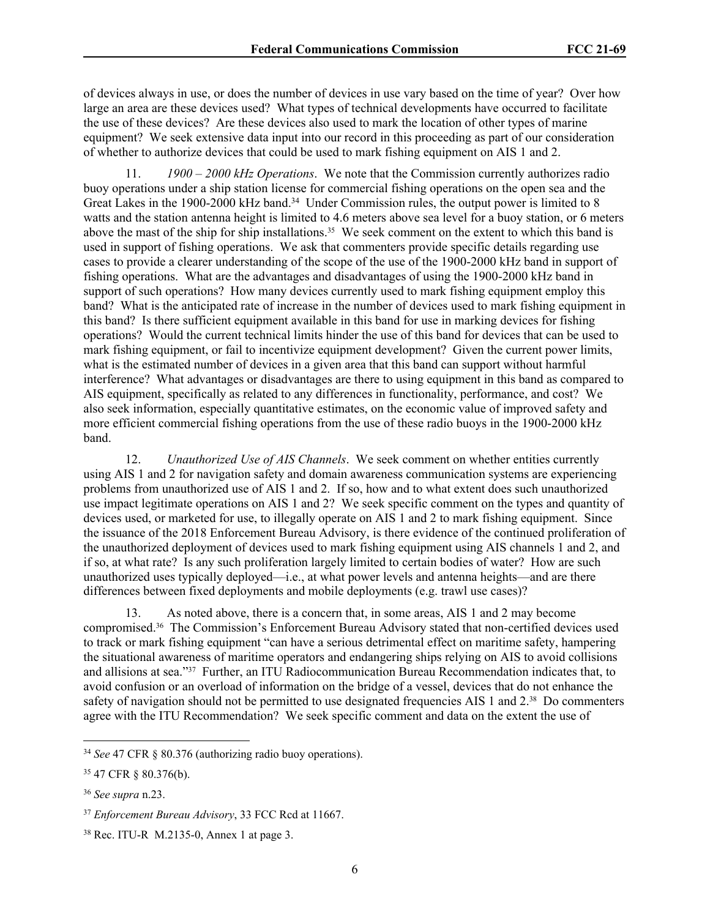of devices always in use, or does the number of devices in use vary based on the time of year? Over how large an area are these devices used? What types of technical developments have occurred to facilitate the use of these devices? Are these devices also used to mark the location of other types of marine equipment? We seek extensive data input into our record in this proceeding as part of our consideration of whether to authorize devices that could be used to mark fishing equipment on AIS 1 and 2.

11. *1900 – 2000 kHz Operations*. We note that the Commission currently authorizes radio buoy operations under a ship station license for commercial fishing operations on the open sea and the Great Lakes in the 1900-2000 kHz band.<sup>34</sup> Under Commission rules, the output power is limited to 8 watts and the station antenna height is limited to 4.6 meters above sea level for a buoy station, or 6 meters above the mast of the ship for ship installations.<sup>35</sup> We seek comment on the extent to which this band is used in support of fishing operations. We ask that commenters provide specific details regarding use cases to provide a clearer understanding of the scope of the use of the 1900-2000 kHz band in support of fishing operations. What are the advantages and disadvantages of using the 1900-2000 kHz band in support of such operations? How many devices currently used to mark fishing equipment employ this band? What is the anticipated rate of increase in the number of devices used to mark fishing equipment in this band? Is there sufficient equipment available in this band for use in marking devices for fishing operations? Would the current technical limits hinder the use of this band for devices that can be used to mark fishing equipment, or fail to incentivize equipment development? Given the current power limits, what is the estimated number of devices in a given area that this band can support without harmful interference? What advantages or disadvantages are there to using equipment in this band as compared to AIS equipment, specifically as related to any differences in functionality, performance, and cost? We also seek information, especially quantitative estimates, on the economic value of improved safety and more efficient commercial fishing operations from the use of these radio buoys in the 1900-2000 kHz band.

12. *Unauthorized Use of AIS Channels*. We seek comment on whether entities currently using AIS 1 and 2 for navigation safety and domain awareness communication systems are experiencing problems from unauthorized use of AIS 1 and 2. If so, how and to what extent does such unauthorized use impact legitimate operations on AIS 1 and 2? We seek specific comment on the types and quantity of devices used, or marketed for use, to illegally operate on AIS 1 and 2 to mark fishing equipment. Since the issuance of the 2018 Enforcement Bureau Advisory, is there evidence of the continued proliferation of the unauthorized deployment of devices used to mark fishing equipment using AIS channels 1 and 2, and if so, at what rate? Is any such proliferation largely limited to certain bodies of water? How are such unauthorized uses typically deployed—i.e., at what power levels and antenna heights—and are there differences between fixed deployments and mobile deployments (e.g. trawl use cases)?

13. As noted above, there is a concern that, in some areas, AIS 1 and 2 may become compromised.36 The Commission's Enforcement Bureau Advisory stated that non-certified devices used to track or mark fishing equipment "can have a serious detrimental effect on maritime safety, hampering the situational awareness of maritime operators and endangering ships relying on AIS to avoid collisions and allisions at sea."37 Further, an ITU Radiocommunication Bureau Recommendation indicates that, to avoid confusion or an overload of information on the bridge of a vessel, devices that do not enhance the safety of navigation should not be permitted to use designated frequencies AIS 1 and 2.<sup>38</sup> Do commenters agree with the ITU Recommendation? We seek specific comment and data on the extent the use of

<sup>34</sup> *See* 47 CFR § 80.376 (authorizing radio buoy operations).

<sup>35</sup> 47 CFR § 80.376(b).

<sup>36</sup> *See supra* n.23.

<sup>37</sup> *Enforcement Bureau Advisory*, 33 FCC Rcd at 11667.

<sup>38</sup> Rec. ITU-R M.2135-0, Annex 1 at page 3.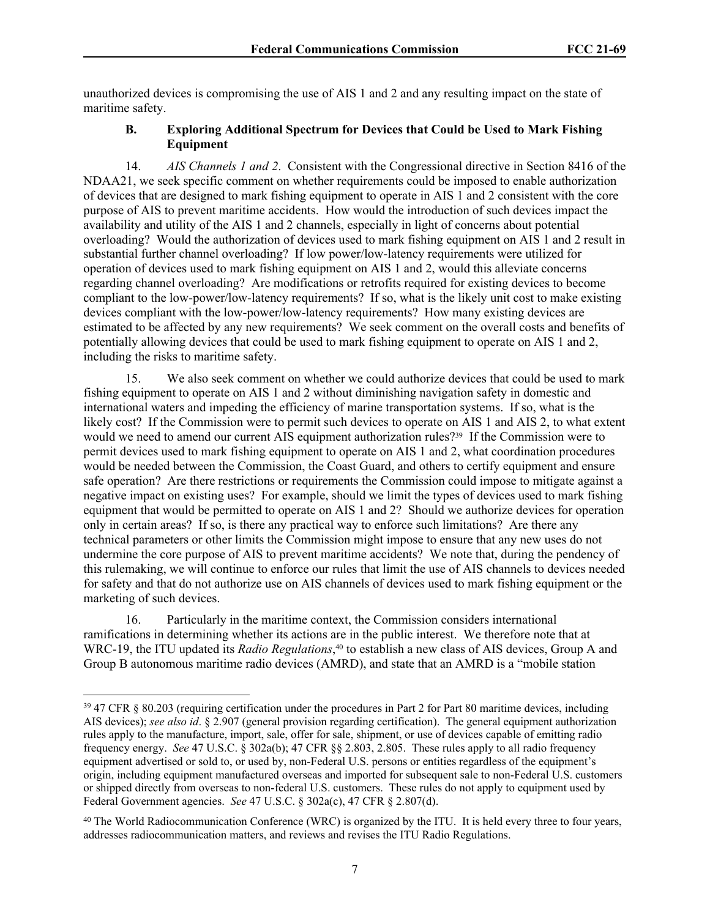unauthorized devices is compromising the use of AIS 1 and 2 and any resulting impact on the state of maritime safety.

### **B. Exploring Additional Spectrum for Devices that Could be Used to Mark Fishing Equipment**

14. *AIS Channels 1 and 2*. Consistent with the Congressional directive in Section 8416 of the NDAA21, we seek specific comment on whether requirements could be imposed to enable authorization of devices that are designed to mark fishing equipment to operate in AIS 1 and 2 consistent with the core purpose of AIS to prevent maritime accidents. How would the introduction of such devices impact the availability and utility of the AIS 1 and 2 channels, especially in light of concerns about potential overloading? Would the authorization of devices used to mark fishing equipment on AIS 1 and 2 result in substantial further channel overloading? If low power/low-latency requirements were utilized for operation of devices used to mark fishing equipment on AIS 1 and 2, would this alleviate concerns regarding channel overloading? Are modifications or retrofits required for existing devices to become compliant to the low-power/low-latency requirements? If so, what is the likely unit cost to make existing devices compliant with the low-power/low-latency requirements? How many existing devices are estimated to be affected by any new requirements? We seek comment on the overall costs and benefits of potentially allowing devices that could be used to mark fishing equipment to operate on AIS 1 and 2, including the risks to maritime safety.

15. We also seek comment on whether we could authorize devices that could be used to mark fishing equipment to operate on AIS 1 and 2 without diminishing navigation safety in domestic and international waters and impeding the efficiency of marine transportation systems. If so, what is the likely cost? If the Commission were to permit such devices to operate on AIS 1 and AIS 2, to what extent would we need to amend our current AIS equipment authorization rules?<sup>39</sup> If the Commission were to permit devices used to mark fishing equipment to operate on AIS 1 and 2, what coordination procedures would be needed between the Commission, the Coast Guard, and others to certify equipment and ensure safe operation? Are there restrictions or requirements the Commission could impose to mitigate against a negative impact on existing uses? For example, should we limit the types of devices used to mark fishing equipment that would be permitted to operate on AIS 1 and 2? Should we authorize devices for operation only in certain areas? If so, is there any practical way to enforce such limitations? Are there any technical parameters or other limits the Commission might impose to ensure that any new uses do not undermine the core purpose of AIS to prevent maritime accidents? We note that, during the pendency of this rulemaking, we will continue to enforce our rules that limit the use of AIS channels to devices needed for safety and that do not authorize use on AIS channels of devices used to mark fishing equipment or the marketing of such devices.

16. Particularly in the maritime context, the Commission considers international ramifications in determining whether its actions are in the public interest. We therefore note that at WRC-19, the ITU updated its *Radio Regulations*, <sup>40</sup> to establish a new class of AIS devices, Group A and Group B autonomous maritime radio devices (AMRD), and state that an AMRD is a "mobile station

<sup>39</sup> 47 CFR § 80.203 (requiring certification under the procedures in Part 2 for Part 80 maritime devices, including AIS devices); *see also id*. § 2.907 (general provision regarding certification). The general equipment authorization rules apply to the manufacture, import, sale, offer for sale, shipment, or use of devices capable of emitting radio frequency energy. *See* 47 U.S.C. § 302a(b); 47 CFR §§ 2.803, 2.805. These rules apply to all radio frequency equipment advertised or sold to, or used by, non-Federal U.S. persons or entities regardless of the equipment's origin, including equipment manufactured overseas and imported for subsequent sale to non-Federal U.S. customers or shipped directly from overseas to non-federal U.S. customers. These rules do not apply to equipment used by Federal Government agencies. *See* 47 U.S.C. § 302a(c), 47 CFR § 2.807(d).

<sup>&</sup>lt;sup>40</sup> The World Radiocommunication Conference (WRC) is organized by the ITU. It is held every three to four years, addresses radiocommunication matters, and reviews and revises the ITU Radio Regulations.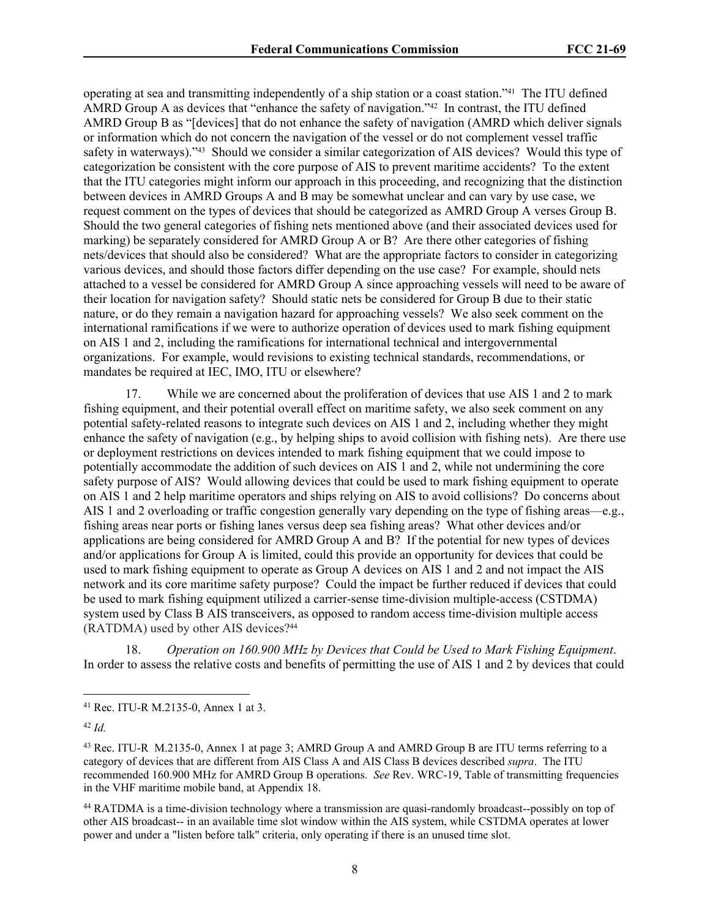operating at sea and transmitting independently of a ship station or a coast station."41 The ITU defined AMRD Group A as devices that "enhance the safety of navigation."42 In contrast, the ITU defined AMRD Group B as "[devices] that do not enhance the safety of navigation (AMRD which deliver signals or information which do not concern the navigation of the vessel or do not complement vessel traffic safety in waterways)."43 Should we consider a similar categorization of AIS devices? Would this type of categorization be consistent with the core purpose of AIS to prevent maritime accidents? To the extent that the ITU categories might inform our approach in this proceeding, and recognizing that the distinction between devices in AMRD Groups A and B may be somewhat unclear and can vary by use case, we request comment on the types of devices that should be categorized as AMRD Group A verses Group B. Should the two general categories of fishing nets mentioned above (and their associated devices used for marking) be separately considered for AMRD Group A or B? Are there other categories of fishing nets/devices that should also be considered? What are the appropriate factors to consider in categorizing various devices, and should those factors differ depending on the use case? For example, should nets attached to a vessel be considered for AMRD Group A since approaching vessels will need to be aware of their location for navigation safety? Should static nets be considered for Group B due to their static nature, or do they remain a navigation hazard for approaching vessels? We also seek comment on the international ramifications if we were to authorize operation of devices used to mark fishing equipment on AIS 1 and 2, including the ramifications for international technical and intergovernmental organizations. For example, would revisions to existing technical standards, recommendations, or mandates be required at IEC, IMO, ITU or elsewhere?

17. While we are concerned about the proliferation of devices that use AIS 1 and 2 to mark fishing equipment, and their potential overall effect on maritime safety, we also seek comment on any potential safety-related reasons to integrate such devices on AIS 1 and 2, including whether they might enhance the safety of navigation (e.g., by helping ships to avoid collision with fishing nets). Are there use or deployment restrictions on devices intended to mark fishing equipment that we could impose to potentially accommodate the addition of such devices on AIS 1 and 2, while not undermining the core safety purpose of AIS? Would allowing devices that could be used to mark fishing equipment to operate on AIS 1 and 2 help maritime operators and ships relying on AIS to avoid collisions? Do concerns about AIS 1 and 2 overloading or traffic congestion generally vary depending on the type of fishing areas—e.g., fishing areas near ports or fishing lanes versus deep sea fishing areas? What other devices and/or applications are being considered for AMRD Group A and B? If the potential for new types of devices and/or applications for Group A is limited, could this provide an opportunity for devices that could be used to mark fishing equipment to operate as Group A devices on AIS 1 and 2 and not impact the AIS network and its core maritime safety purpose? Could the impact be further reduced if devices that could be used to mark fishing equipment utilized a carrier-sense time-division multiple-access (CSTDMA) system used by Class B AIS transceivers, as opposed to random access [time-division multiple access](https://en.wikipedia.org/wiki/Self-organized_time-division_multiple_access) (RATDMA) used by other AIS devices?<sup>44</sup>

18. *Operation on 160.900 MHz by Devices that Could be Used to Mark Fishing Equipment*. In order to assess the relative costs and benefits of permitting the use of AIS 1 and 2 by devices that could

<sup>44</sup> RATDMA is a time-division technology where a transmission are quasi-randomly broadcast--possibly on top of other AIS broadcast-- in an available time slot window within the AIS system, while CSTDMA operates at lower power and under a "listen before talk" criteria, only operating if there is an unused time slot.

<sup>41</sup> Rec. ITU-R M.2135-0, Annex 1 at 3.

<sup>42</sup> *Id.*

<sup>43</sup> Rec. ITU-R M.2135-0, Annex 1 at page 3; AMRD Group A and AMRD Group B are ITU terms referring to a category of devices that are different from AIS Class A and AIS Class B devices described *supra*. The ITU recommended 160.900 MHz for AMRD Group B operations. *See* Rev. WRC-19, Table of transmitting frequencies in the VHF maritime mobile band, at Appendix 18.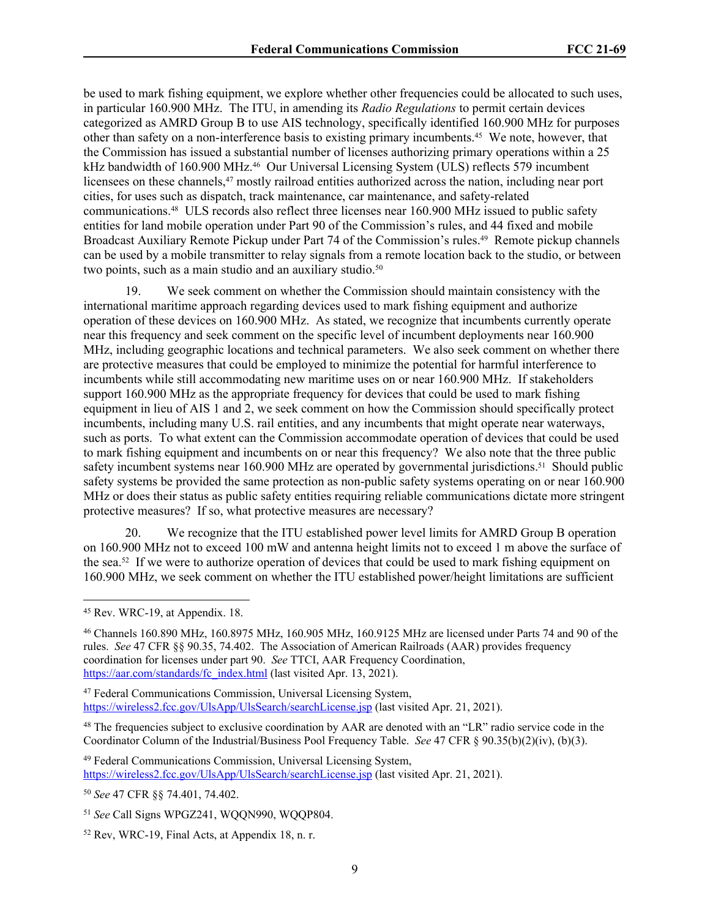be used to mark fishing equipment, we explore whether other frequencies could be allocated to such uses, in particular 160.900 MHz. The ITU, in amending its *Radio Regulations* to permit certain devices categorized as AMRD Group B to use AIS technology, specifically identified 160.900 MHz for purposes other than safety on a non-interference basis to existing primary incumbents.45 We note, however, that the Commission has issued a substantial number of licenses authorizing primary operations within a 25 kHz bandwidth of 160.900 MHz.<sup>46</sup> Our Universal Licensing System (ULS) reflects 579 incumbent licensees on these channels,<sup>47</sup> mostly railroad entities authorized across the nation, including near port cities, for uses such as dispatch, track maintenance, car maintenance, and safety-related communications.48 ULS records also reflect three licenses near 160.900 MHz issued to public safety entities for land mobile operation under Part 90 of the Commission's rules, and 44 fixed and mobile Broadcast Auxiliary Remote Pickup under Part 74 of the Commission's rules.<sup>49</sup> Remote pickup channels can be used by a mobile transmitter to relay signals from a remote location back to the studio, or between two points, such as a main studio and an auxiliary studio.<sup>50</sup>

19. We seek comment on whether the Commission should maintain consistency with the international maritime approach regarding devices used to mark fishing equipment and authorize operation of these devices on 160.900 MHz. As stated, we recognize that incumbents currently operate near this frequency and seek comment on the specific level of incumbent deployments near 160.900 MHz, including geographic locations and technical parameters. We also seek comment on whether there are protective measures that could be employed to minimize the potential for harmful interference to incumbents while still accommodating new maritime uses on or near 160.900 MHz. If stakeholders support 160.900 MHz as the appropriate frequency for devices that could be used to mark fishing equipment in lieu of AIS 1 and 2, we seek comment on how the Commission should specifically protect incumbents, including many U.S. rail entities, and any incumbents that might operate near waterways, such as ports. To what extent can the Commission accommodate operation of devices that could be used to mark fishing equipment and incumbents on or near this frequency? We also note that the three public safety incumbent systems near 160.900 MHz are operated by governmental jurisdictions.<sup>51</sup> Should public safety systems be provided the same protection as non-public safety systems operating on or near 160.900 MHz or does their status as public safety entities requiring reliable communications dictate more stringent protective measures? If so, what protective measures are necessary?

20. We recognize that the ITU established power level limits for AMRD Group B operation on 160.900 MHz not to exceed 100 mW and antenna height limits not to exceed 1 m above the surface of the sea.52 If we were to authorize operation of devices that could be used to mark fishing equipment on 160.900 MHz, we seek comment on whether the ITU established power/height limitations are sufficient

<sup>47</sup> Federal Communications Commission, Universal Licensing System, <https://wireless2.fcc.gov/UlsApp/UlsSearch/searchLicense.jsp> (last visited Apr. 21, 2021).

<sup>49</sup> Federal Communications Commission, Universal Licensing System, <https://wireless2.fcc.gov/UlsApp/UlsSearch/searchLicense.jsp> (last visited Apr. 21, 2021).

<sup>45</sup> Rev. WRC-19, at Appendix. 18.

<sup>46</sup> Channels 160.890 MHz, 160.8975 MHz, 160.905 MHz, 160.9125 MHz are licensed under Parts 74 and 90 of the rules. *See* 47 CFR §§ 90.35, 74.402. The Association of American Railroads (AAR) provides frequency coordination for licenses under part 90. *See* TTCI, AAR Frequency Coordination, [https://aar.com/standards/fc\\_index.html](https://aar.com/standards/fc_index.html) (last visited Apr. 13, 2021).

<sup>48</sup> The frequencies subject to exclusive coordination by AAR are denoted with an "LR" radio service code in the Coordinator Column of the Industrial/Business Pool Frequency Table. *See* 47 CFR § 90.35(b)(2)(iv), (b)(3).

<sup>50</sup> *See* 47 CFR §§ 74.401, 74.402.

<sup>51</sup> *See* Call Signs WPGZ241, WQQN990, WQQP804.

<sup>52</sup> Rev, WRC-19, Final Acts, at Appendix 18, n. r.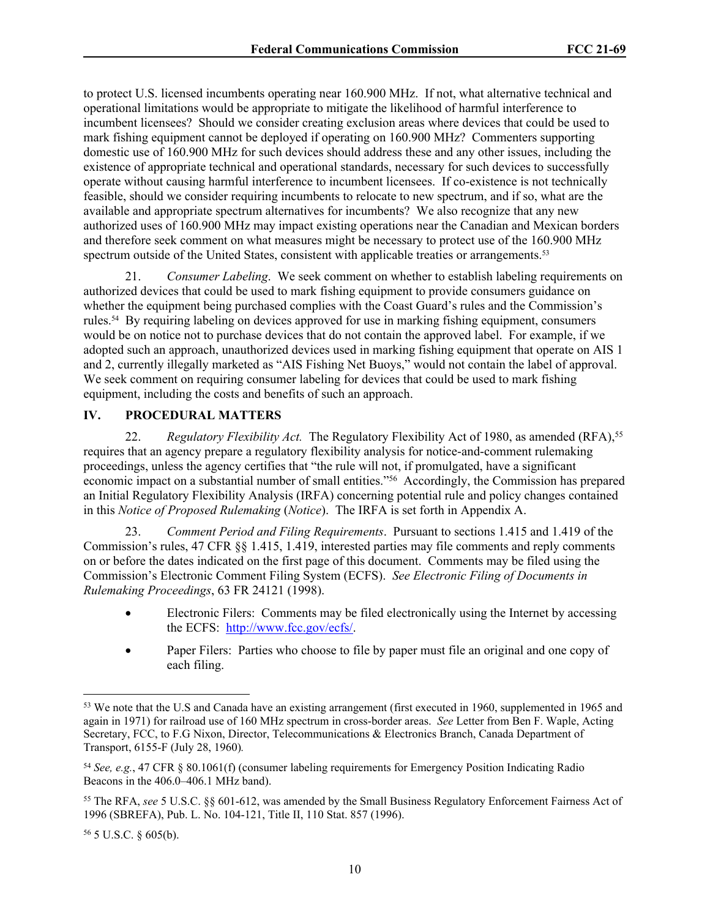to protect U.S. licensed incumbents operating near 160.900 MHz. If not, what alternative technical and operational limitations would be appropriate to mitigate the likelihood of harmful interference to incumbent licensees? Should we consider creating exclusion areas where devices that could be used to mark fishing equipment cannot be deployed if operating on 160.900 MHz? Commenters supporting domestic use of 160.900 MHz for such devices should address these and any other issues, including the existence of appropriate technical and operational standards, necessary for such devices to successfully operate without causing harmful interference to incumbent licensees. If co-existence is not technically feasible, should we consider requiring incumbents to relocate to new spectrum, and if so, what are the available and appropriate spectrum alternatives for incumbents? We also recognize that any new authorized uses of 160.900 MHz may impact existing operations near the Canadian and Mexican borders and therefore seek comment on what measures might be necessary to protect use of the 160.900 MHz spectrum outside of the United States, consistent with applicable treaties or arrangements.<sup>53</sup>

21. *Consumer Labeling*. We seek comment on whether to establish labeling requirements on authorized devices that could be used to mark fishing equipment to provide consumers guidance on whether the equipment being purchased complies with the Coast Guard's rules and the Commission's rules.54 By requiring labeling on devices approved for use in marking fishing equipment, consumers would be on notice not to purchase devices that do not contain the approved label. For example, if we adopted such an approach, unauthorized devices used in marking fishing equipment that operate on AIS 1 and 2, currently illegally marketed as "AIS Fishing Net Buoys," would not contain the label of approval. We seek comment on requiring consumer labeling for devices that could be used to mark fishing equipment, including the costs and benefits of such an approach.

### **IV. PROCEDURAL MATTERS**

22. *Regulatory Flexibility Act.* The Regulatory Flexibility Act of 1980, as amended (RFA),<sup>55</sup> requires that an agency prepare a regulatory flexibility analysis for notice-and-comment rulemaking proceedings, unless the agency certifies that "the rule will not, if promulgated, have a significant economic impact on a substantial number of small entities."<sup>56</sup> Accordingly, the Commission has prepared an Initial Regulatory Flexibility Analysis (IRFA) concerning potential rule and policy changes contained in this *Notice of Proposed Rulemaking* (*Notice*). The IRFA is set forth in Appendix A.

23. *Comment Period and Filing Requirements*. Pursuant to sections 1.415 and 1.419 of the Commission's rules, 47 CFR §§ 1.415, 1.419, interested parties may file comments and reply comments on or before the dates indicated on the first page of this document. Comments may be filed using the Commission's Electronic Comment Filing System (ECFS). *See Electronic Filing of Documents in Rulemaking Proceedings*, 63 FR 24121 (1998).

- Electronic Filers: Comments may be filed electronically using the Internet by accessing the ECFS: <http://www.fcc.gov/ecfs/>.
- Paper Filers: Parties who choose to file by paper must file an original and one copy of each filing.

56 5 U.S.C. § 605(b).

<sup>53</sup> We note that the U.S and Canada have an existing arrangement (first executed in 1960, supplemented in 1965 and again in 1971) for railroad use of 160 MHz spectrum in cross-border areas. *See* Letter from Ben F. Waple, Acting Secretary, FCC, to F.G Nixon, Director, Telecommunications & Electronics Branch, Canada Department of Transport, 6155-F (July 28, 1960)*.*

<sup>54</sup> *See, e.g.*, 47 CFR § 80.1061(f) (consumer labeling requirements for Emergency Position Indicating Radio Beacons in the 406.0–406.1 MHz band).

<sup>55</sup> The RFA, *see* 5 U.S.C. §§ 601-612, was amended by the Small Business Regulatory Enforcement Fairness Act of 1996 (SBREFA), Pub. L. No. 104-121, Title II, 110 Stat. 857 (1996).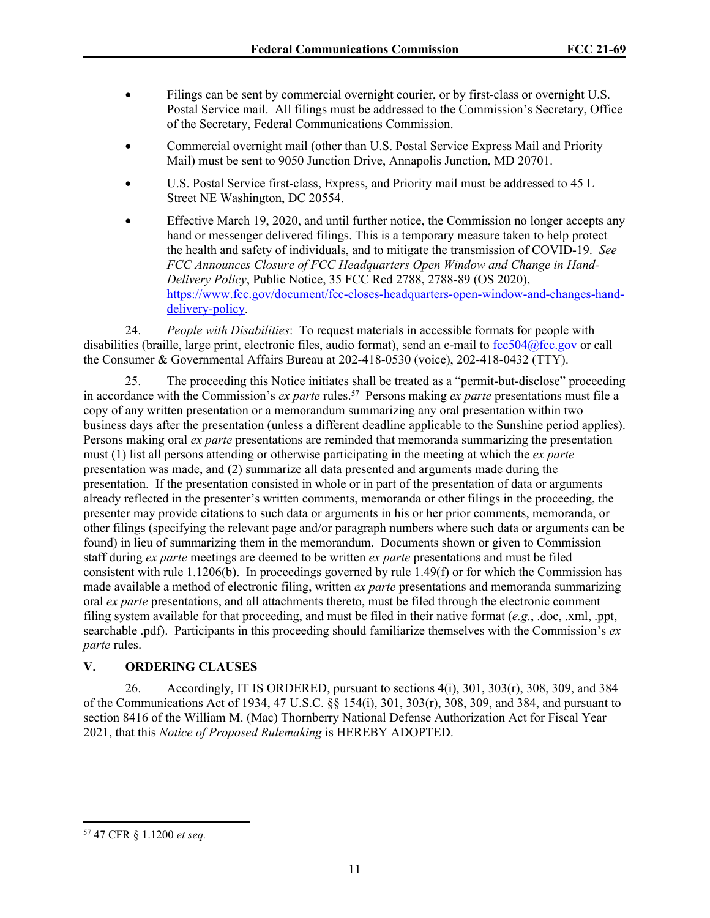- Filings can be sent by commercial overnight courier, or by first-class or overnight U.S. Postal Service mail. All filings must be addressed to the Commission's Secretary, Office of the Secretary, Federal Communications Commission.
- Commercial overnight mail (other than U.S. Postal Service Express Mail and Priority Mail) must be sent to 9050 Junction Drive, Annapolis Junction, MD 20701.
- U.S. Postal Service first-class, Express, and Priority mail must be addressed to 45 L Street NE Washington, DC 20554.
- Effective March 19, 2020, and until further notice, the Commission no longer accepts any hand or messenger delivered filings. This is a temporary measure taken to help protect the health and safety of individuals, and to mitigate the transmission of COVID-19. *See FCC Announces Closure of FCC Headquarters Open Window and Change in Hand-Delivery Policy*, Public Notice, 35 FCC Rcd 2788, 2788-89 (OS 2020), [https://www.fcc.gov/document/fcc-closes-headquarters-open-window-and-changes-hand](https://www.fcc.gov/document/fcc-closes-headquarters-open-window-and-changes-hand-delivery-policy)[delivery-policy](https://www.fcc.gov/document/fcc-closes-headquarters-open-window-and-changes-hand-delivery-policy).

24. *People with Disabilities*: To request materials in accessible formats for people with disabilities (braille, large print, electronic files, audio format), send an e-mail to  $\frac{fcc504@fcc.gov}{c}$  or call the Consumer & Governmental Affairs Bureau at 202-418-0530 (voice), 202-418-0432 (TTY).

25. The proceeding this Notice initiates shall be treated as a "permit-but-disclose" proceeding in accordance with the Commission's *ex parte* rules.<sup>57</sup> Persons making *ex parte* presentations must file a copy of any written presentation or a memorandum summarizing any oral presentation within two business days after the presentation (unless a different deadline applicable to the Sunshine period applies). Persons making oral *ex parte* presentations are reminded that memoranda summarizing the presentation must (1) list all persons attending or otherwise participating in the meeting at which the *ex parte*  presentation was made, and (2) summarize all data presented and arguments made during the presentation. If the presentation consisted in whole or in part of the presentation of data or arguments already reflected in the presenter's written comments, memoranda or other filings in the proceeding, the presenter may provide citations to such data or arguments in his or her prior comments, memoranda, or other filings (specifying the relevant page and/or paragraph numbers where such data or arguments can be found) in lieu of summarizing them in the memorandum. Documents shown or given to Commission staff during *ex parte* meetings are deemed to be written *ex parte* presentations and must be filed consistent with rule 1.1206(b). In proceedings governed by rule 1.49(f) or for which the Commission has made available a method of electronic filing, written *ex parte* presentations and memoranda summarizing oral *ex parte* presentations, and all attachments thereto, must be filed through the electronic comment filing system available for that proceeding, and must be filed in their native format (*e.g.*, .doc, .xml, .ppt, searchable .pdf). Participants in this proceeding should familiarize themselves with the Commission's *ex parte* rules.

## **V. ORDERING CLAUSES**

26. Accordingly, IT IS ORDERED, pursuant to sections 4(i), 301, 303(r), 308, 309, and 384 of the Communications Act of 1934, 47 U.S.C. §§ 154(i), 301, 303(r), 308, 309, and 384, and pursuant to section 8416 of the William M. (Mac) Thornberry National Defense Authorization Act for Fiscal Year 2021, that this *Notice of Proposed Rulemaking* is HEREBY ADOPTED.

<sup>57</sup> 47 CFR § 1.1200 *et seq.*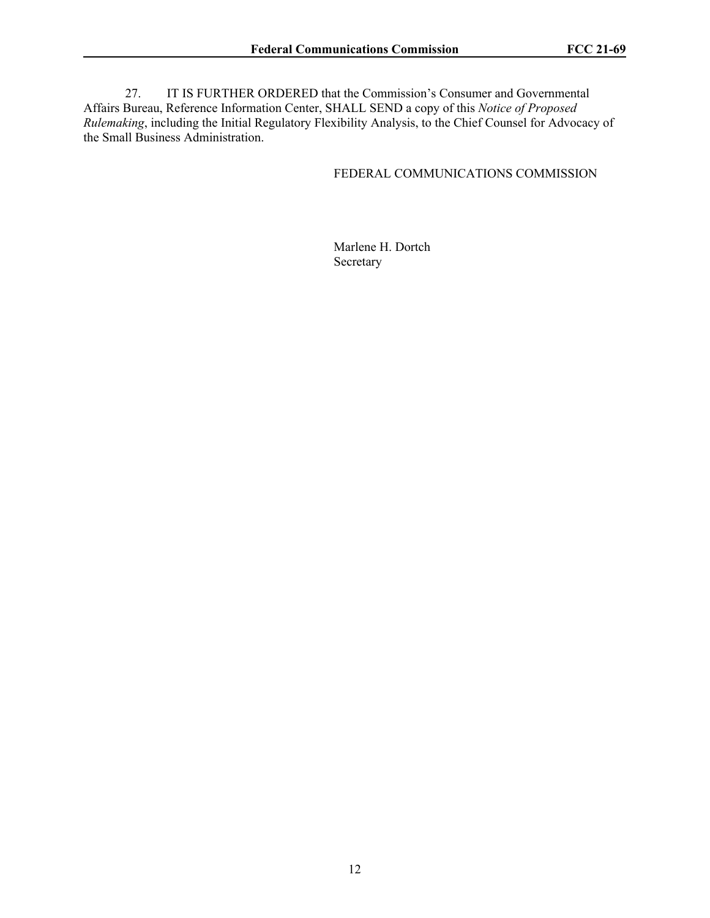27. IT IS FURTHER ORDERED that the Commission's Consumer and Governmental Affairs Bureau, Reference Information Center, SHALL SEND a copy of this *Notice of Proposed Rulemaking*, including the Initial Regulatory Flexibility Analysis, to the Chief Counsel for Advocacy of the Small Business Administration.

## FEDERAL COMMUNICATIONS COMMISSION

Marlene H. Dortch Secretary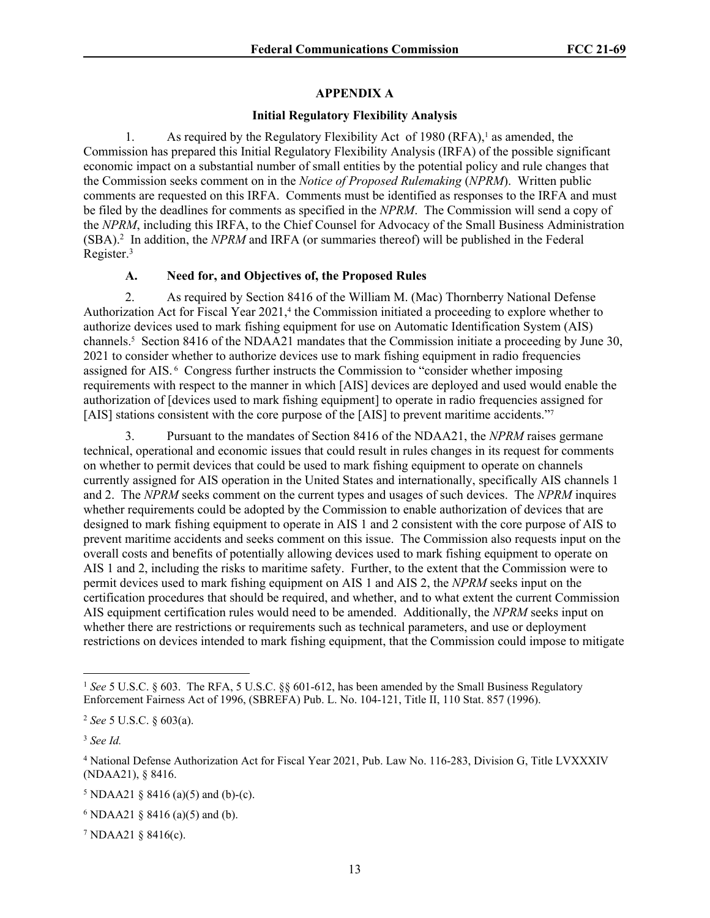## **APPENDIX A**

### **Initial Regulatory Flexibility Analysis**

1. As required by the Regulatory Flexibility Act of 1980 (RFA),<sup>1</sup> as amended, the Commission has prepared this Initial Regulatory Flexibility Analysis (IRFA) of the possible significant economic impact on a substantial number of small entities by the potential policy and rule changes that the Commission seeks comment on in the *Notice of Proposed Rulemaking* (*NPRM*). Written public comments are requested on this IRFA. Comments must be identified as responses to the IRFA and must be filed by the deadlines for comments as specified in the *NPRM*. The Commission will send a copy of the *NPRM*, including this IRFA, to the Chief Counsel for Advocacy of the Small Business Administration (SBA).<sup>2</sup> In addition, the *NPRM* and IRFA (or summaries thereof) will be published in the Federal Register.<sup>3</sup>

#### **A. Need for, and Objectives of, the Proposed Rules**

2. As required by Section 8416 of the William M. (Mac) Thornberry National Defense Authorization Act for Fiscal Year 2021,<sup>4</sup> the Commission initiated a proceeding to explore whether to authorize devices used to mark fishing equipment for use on Automatic Identification System (AIS) channels.<sup>5</sup> Section 8416 of the NDAA21 mandates that the Commission initiate a proceeding by June 30, 2021 to consider whether to authorize devices use to mark fishing equipment in radio frequencies assigned for AIS. 6 Congress further instructs the Commission to "consider whether imposing requirements with respect to the manner in which [AIS] devices are deployed and used would enable the authorization of [devices used to mark fishing equipment] to operate in radio frequencies assigned for [AIS] stations consistent with the core purpose of the [AIS] to prevent maritime accidents."7

3. Pursuant to the mandates of Section 8416 of the NDAA21, the *NPRM* raises germane technical, operational and economic issues that could result in rules changes in its request for comments on whether to permit devices that could be used to mark fishing equipment to operate on channels currently assigned for AIS operation in the United States and internationally, specifically AIS channels 1 and 2. The *NPRM* seeks comment on the current types and usages of such devices. The *NPRM* inquires whether requirements could be adopted by the Commission to enable authorization of devices that are designed to mark fishing equipment to operate in AIS 1 and 2 consistent with the core purpose of AIS to prevent maritime accidents and seeks comment on this issue. The Commission also requests input on the overall costs and benefits of potentially allowing devices used to mark fishing equipment to operate on AIS 1 and 2, including the risks to maritime safety. Further, to the extent that the Commission were to permit devices used to mark fishing equipment on AIS 1 and AIS 2, the *NPRM* seeks input on the certification procedures that should be required, and whether, and to what extent the current Commission AIS equipment certification rules would need to be amended. Additionally, the *NPRM* seeks input on whether there are restrictions or requirements such as technical parameters, and use or deployment restrictions on devices intended to mark fishing equipment, that the Commission could impose to mitigate

<sup>1</sup> *See* 5 U.S.C. § 603. The RFA, 5 U.S.C. §§ 601-612, has been amended by the Small Business Regulatory Enforcement Fairness Act of 1996, (SBREFA) Pub. L. No. 104-121, Title II, 110 Stat. 857 (1996).

<sup>2</sup> *See* 5 U.S.C. § 603(a).

<sup>3</sup> *See Id.*

<sup>4</sup> National Defense Authorization Act for Fiscal Year 2021, Pub. Law No. 116-283, Division G, Title LVXXXIV (NDAA21), § 8416.

<sup>&</sup>lt;sup>5</sup> NDAA21 § 8416 (a)(5) and (b)-(c).

<sup>6</sup> NDAA21 § 8416 (a)(5) and (b).

<sup>7</sup> NDAA21 § 8416(c).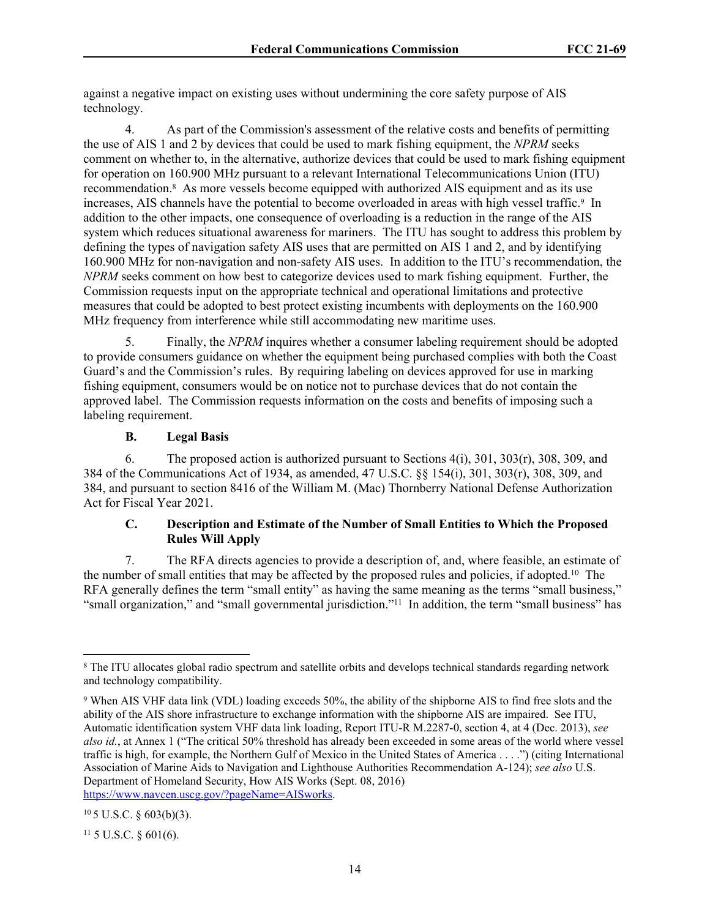against a negative impact on existing uses without undermining the core safety purpose of AIS technology.

4. As part of the Commission's assessment of the relative costs and benefits of permitting the use of AIS 1 and 2 by devices that could be used to mark fishing equipment, the *NPRM* seeks comment on whether to, in the alternative, authorize devices that could be used to mark fishing equipment for operation on 160.900 MHz pursuant to a relevant International Telecommunications Union (ITU) recommendation.<sup>8</sup> As more vessels become equipped with authorized AIS equipment and as its use increases, AIS channels have the potential to become overloaded in areas with high vessel traffic.<sup>9</sup> In addition to the other impacts, one consequence of overloading is a reduction in the range of the AIS system which reduces situational awareness for mariners. The ITU has sought to address this problem by defining the types of navigation safety AIS uses that are permitted on AIS 1 and 2, and by identifying 160.900 MHz for non-navigation and non-safety AIS uses. In addition to the ITU's recommendation, the *NPRM* seeks comment on how best to categorize devices used to mark fishing equipment. Further, the Commission requests input on the appropriate technical and operational limitations and protective measures that could be adopted to best protect existing incumbents with deployments on the 160.900 MHz frequency from interference while still accommodating new maritime uses.

5. Finally, the *NPRM* inquires whether a consumer labeling requirement should be adopted to provide consumers guidance on whether the equipment being purchased complies with both the Coast Guard's and the Commission's rules. By requiring labeling on devices approved for use in marking fishing equipment, consumers would be on notice not to purchase devices that do not contain the approved label. The Commission requests information on the costs and benefits of imposing such a labeling requirement.

#### **B. Legal Basis**

6. The proposed action is authorized pursuant to Sections 4(i), 301, 303(r), 308, 309, and 384 of the Communications Act of 1934, as amended, 47 U.S.C. §§ 154(i), 301, 303(r), 308, 309, and 384, and pursuant to section 8416 of the William M. (Mac) Thornberry National Defense Authorization Act for Fiscal Year 2021.

### **C. Description and Estimate of the Number of Small Entities to Which the Proposed Rules Will Apply**

7. The RFA directs agencies to provide a description of, and, where feasible, an estimate of the number of small entities that may be affected by the proposed rules and policies, if adopted.<sup>10</sup> The RFA generally defines the term "small entity" as having the same meaning as the terms "small business," "small organization," and "small governmental jurisdiction."<sup>11</sup> In addition, the term "small business" has

<sup>&</sup>lt;sup>8</sup> The ITU allocates global radio spectrum and satellite orbits and develops technical standards regarding network and technology compatibility.

<sup>9</sup> When AIS VHF data link (VDL) loading exceeds 50%, the ability of the shipborne AIS to find free slots and the ability of the AIS shore infrastructure to exchange information with the shipborne AIS are impaired. See ITU, Automatic identification system VHF data link loading, Report ITU-R M.2287-0, section 4, at 4 (Dec. 2013), *see also id.*, at Annex 1 ("The critical 50% threshold has already been exceeded in some areas of the world where vessel traffic is high, for example, the Northern Gulf of Mexico in the United States of America . . . .") (citing International Association of Marine Aids to Navigation and Lighthouse Authorities Recommendation A-124); *see also* U.S. Department of Homeland Security, How AIS Works (Sept. 08, 2016) [https://www.navcen.uscg.gov/?pageName=AISworks.](https://www.navcen.uscg.gov/?pageName=AISworks)

 $105$  U.S.C. § 603(b)(3).

<sup>11</sup> 5 U.S.C. § 601(6).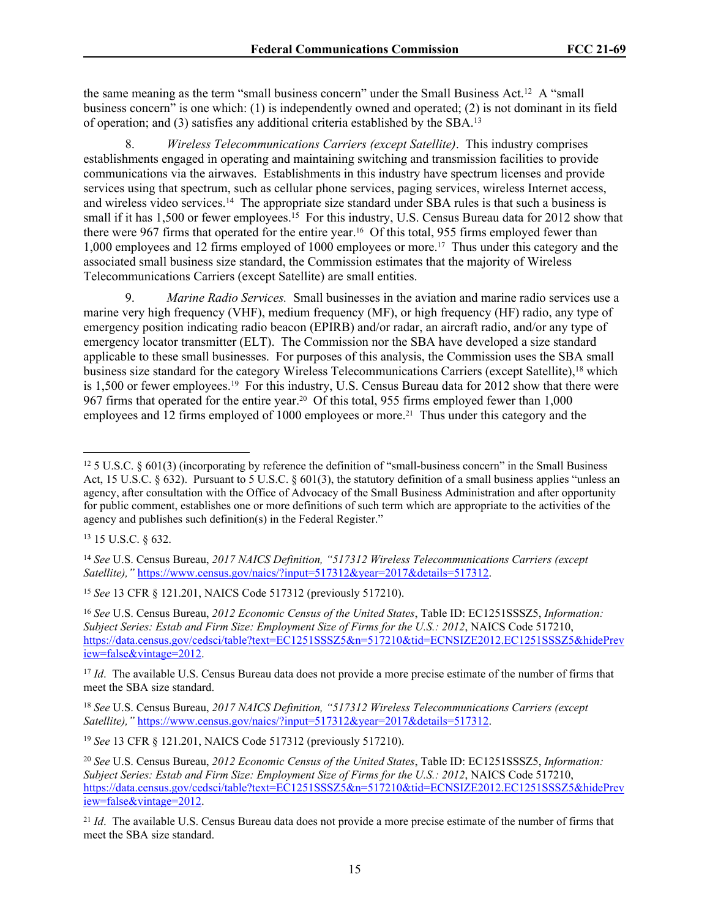the same meaning as the term "small business concern" under the Small Business Act.<sup>12</sup> A "small business concern" is one which: (1) is independently owned and operated; (2) is not dominant in its field of operation; and (3) satisfies any additional criteria established by the SBA.<sup>13</sup>

8. *Wireless Telecommunications Carriers (except Satellite)*. This industry comprises establishments engaged in operating and maintaining switching and transmission facilities to provide communications via the airwaves. Establishments in this industry have spectrum licenses and provide services using that spectrum, such as cellular phone services, paging services, wireless Internet access, and wireless video services.<sup>14</sup> The appropriate size standard under SBA rules is that such a business is small if it has 1,500 or fewer employees.<sup>15</sup> For this industry, U.S. Census Bureau data for 2012 show that there were 967 firms that operated for the entire year.16 Of this total, 955 firms employed fewer than 1,000 employees and 12 firms employed of 1000 employees or more.17 Thus under this category and the associated small business size standard, the Commission estimates that the majority of Wireless Telecommunications Carriers (except Satellite) are small entities.

9. *Marine Radio Services.* Small businesses in the aviation and marine radio services use a marine very high frequency (VHF), medium frequency (MF), or high frequency (HF) radio, any type of emergency position indicating radio beacon (EPIRB) and/or radar, an aircraft radio, and/or any type of emergency locator transmitter (ELT). The Commission nor the SBA have developed a size standard applicable to these small businesses. For purposes of this analysis, the Commission uses the SBA small business size standard for the category Wireless Telecommunications Carriers (except Satellite),<sup>18</sup> which is 1,500 or fewer employees.<sup>19</sup> For this industry, U.S. Census Bureau data for 2012 show that there were 967 firms that operated for the entire year.20 Of this total, 955 firms employed fewer than 1,000 employees and 12 firms employed of 1000 employees or more.<sup>21</sup> Thus under this category and the

<sup>18</sup> *See* U.S. Census Bureau, *2017 NAICS Definition, "517312 Wireless Telecommunications Carriers (except Satellite),"* [https://www.census.gov/naics/?input=517312&year=2017&details=517312.](https://www.census.gov/naics/?input=517312&year=2017&details=517312)

<sup>19</sup> *See* 13 CFR § 121.201, NAICS Code 517312 (previously 517210).

 $12$  5 U.S.C. § 601(3) (incorporating by reference the definition of "small-business concern" in the Small Business Act, 15 U.S.C. § 632). Pursuant to 5 U.S.C. § 601(3), the statutory definition of a small business applies "unless an agency, after consultation with the Office of Advocacy of the Small Business Administration and after opportunity for public comment, establishes one or more definitions of such term which are appropriate to the activities of the agency and publishes such definition(s) in the Federal Register."

<sup>13</sup> 15 U.S.C. § 632.

<sup>14</sup> *See* U.S. Census Bureau, *2017 NAICS Definition, "517312 Wireless Telecommunications Carriers (except Satellite),"* [https://www.census.gov/naics/?input=517312&year=2017&details=517312.](https://www.census.gov/naics/?input=517312&year=2017&details=517312)

<sup>15</sup> *See* 13 CFR § 121.201, NAICS Code 517312 (previously 517210).

<sup>16</sup> *See* U.S. Census Bureau, *2012 Economic Census of the United States*, Table ID: EC1251SSSZ5, *Information: Subject Series: Estab and Firm Size: Employment Size of Firms for the U.S.: 2012*, NAICS Code 517210, [https://data.census.gov/cedsci/table?text=EC1251SSSZ5&n=517210&tid=ECNSIZE2012.EC1251SSSZ5&hidePrev](https://data.census.gov/cedsci/table?text=EC1251SSSZ5&n=517210&tid=ECNSIZE2012.EC1251SSSZ5&hidePreview=false&vintage=2012) [iew=false&vintage=2012.](https://data.census.gov/cedsci/table?text=EC1251SSSZ5&n=517210&tid=ECNSIZE2012.EC1251SSSZ5&hidePreview=false&vintage=2012)

<sup>&</sup>lt;sup>17</sup> *Id*. The available U.S. Census Bureau data does not provide a more precise estimate of the number of firms that meet the SBA size standard.

<sup>20</sup> *See* U.S. Census Bureau, *2012 Economic Census of the United States*, Table ID: EC1251SSSZ5, *Information: Subject Series: Estab and Firm Size: Employment Size of Firms for the U.S.: 2012*, NAICS Code 517210, [https://data.census.gov/cedsci/table?text=EC1251SSSZ5&n=517210&tid=ECNSIZE2012.EC1251SSSZ5&hidePrev](https://data.census.gov/cedsci/table?text=EC1251SSSZ5&n=517210&tid=ECNSIZE2012.EC1251SSSZ5&hidePreview=false&vintage=2012) [iew=false&vintage=2012.](https://data.census.gov/cedsci/table?text=EC1251SSSZ5&n=517210&tid=ECNSIZE2012.EC1251SSSZ5&hidePreview=false&vintage=2012)

<sup>&</sup>lt;sup>21</sup> *Id*. The available U.S. Census Bureau data does not provide a more precise estimate of the number of firms that meet the SBA size standard.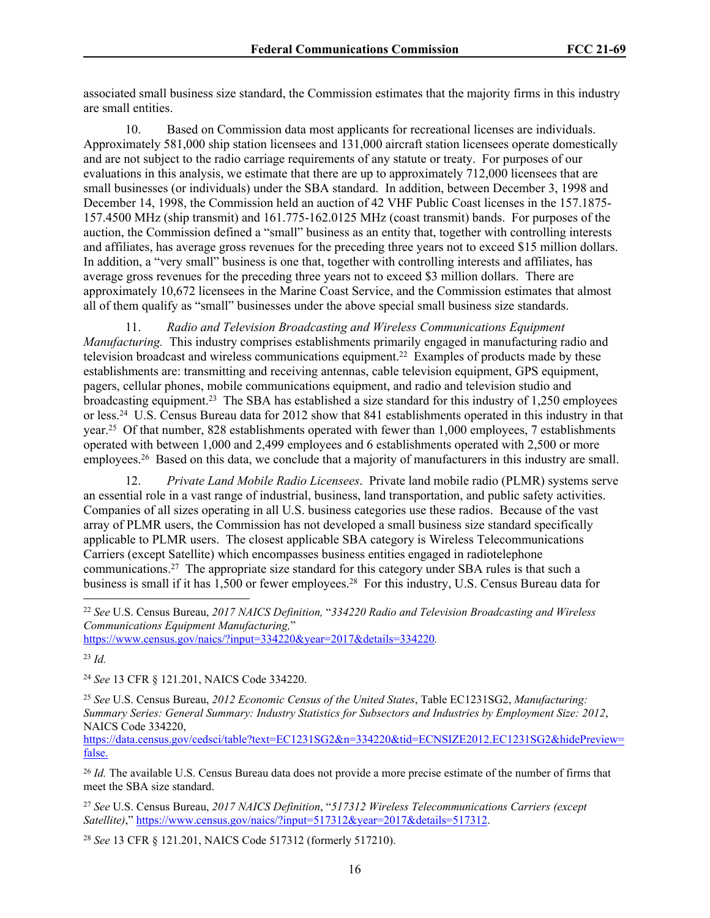associated small business size standard, the Commission estimates that the majority firms in this industry are small entities.

10. Based on Commission data most applicants for recreational licenses are individuals. Approximately 581,000 ship station licensees and 131,000 aircraft station licensees operate domestically and are not subject to the radio carriage requirements of any statute or treaty. For purposes of our evaluations in this analysis, we estimate that there are up to approximately 712,000 licensees that are small businesses (or individuals) under the SBA standard. In addition, between December 3, 1998 and December 14, 1998, the Commission held an auction of 42 VHF Public Coast licenses in the 157.1875- 157.4500 MHz (ship transmit) and 161.775-162.0125 MHz (coast transmit) bands. For purposes of the auction, the Commission defined a "small" business as an entity that, together with controlling interests and affiliates, has average gross revenues for the preceding three years not to exceed \$15 million dollars. In addition, a "very small" business is one that, together with controlling interests and affiliates, has average gross revenues for the preceding three years not to exceed \$3 million dollars. There are approximately 10,672 licensees in the Marine Coast Service, and the Commission estimates that almost all of them qualify as "small" businesses under the above special small business size standards.

11. *Radio and Television Broadcasting and Wireless Communications Equipment Manufacturing.* This industry comprises establishments primarily engaged in manufacturing radio and television broadcast and wireless communications equipment.<sup>22</sup> Examples of products made by these establishments are: transmitting and receiving antennas, cable television equipment, GPS equipment, pagers, cellular phones, mobile communications equipment, and radio and television studio and broadcasting equipment.<sup>23</sup> The SBA has established a size standard for this industry of 1,250 employees or less.<sup>24</sup> U.S. Census Bureau data for 2012 show that 841 establishments operated in this industry in that year.<sup>25</sup> Of that number, 828 establishments operated with fewer than 1,000 employees, 7 establishments operated with between 1,000 and 2,499 employees and 6 establishments operated with 2,500 or more employees.<sup>26</sup> Based on this data, we conclude that a majority of manufacturers in this industry are small.

12. *Private Land Mobile Radio Licensees*. Private land mobile radio (PLMR) systems serve an essential role in a vast range of industrial, business, land transportation, and public safety activities. Companies of all sizes operating in all U.S. business categories use these radios. Because of the vast array of PLMR users, the Commission has not developed a small business size standard specifically applicable to PLMR users. The closest applicable SBA category is Wireless Telecommunications Carriers (except Satellite) which encompasses business entities engaged in radiotelephone communications.<sup>27</sup> The appropriate size standard for this category under SBA rules is that such a business is small if it has 1,500 or fewer employees.<sup>28</sup> For this industry, U.S. Census Bureau data for

<https://www.census.gov/naics/?input=334220&year=2017&details=334220>*.*

<sup>23</sup> *Id.*

<sup>24</sup> *See* 13 CFR § 121.201, NAICS Code 334220.

<sup>25</sup> *See* U.S. Census Bureau, *2012 Economic Census of the United States*, Table EC1231SG2, *Manufacturing: Summary Series: General Summary: Industry Statistics for Subsectors and Industries by Employment Size: 2012*, NAICS Code 334220,

[https://data.census.gov/cedsci/table?text=EC1231SG2&n=334220&tid=ECNSIZE2012.EC1231SG2&hidePreview=](https://data.census.gov/cedsci/table?text=EC1231SG2&n=334220&tid=ECNSIZE2012.EC1231SG2&hidePreview=false) [false.](https://data.census.gov/cedsci/table?text=EC1231SG2&n=334220&tid=ECNSIZE2012.EC1231SG2&hidePreview=false)

<sup>26</sup> *Id.* The available U.S. Census Bureau data does not provide a more precise estimate of the number of firms that meet the SBA size standard.

<sup>27</sup> *See* U.S. Census Bureau, *2017 NAICS Definition*, "*517312 Wireless Telecommunications Carriers (except Satellite)*," [https://www.census.gov/naics/?input=517312&year=2017&details=5](https://www.census.gov/naics/?input=517312&year=2017&details=)17312.

<sup>28</sup> *See* 13 CFR § 121.201, NAICS Code 517312 (formerly 517210).

<sup>22</sup> *See* U.S. Census Bureau, *2017 NAICS Definition,* "*334220 Radio and Television Broadcasting and Wireless Communications Equipment Manufacturing,*"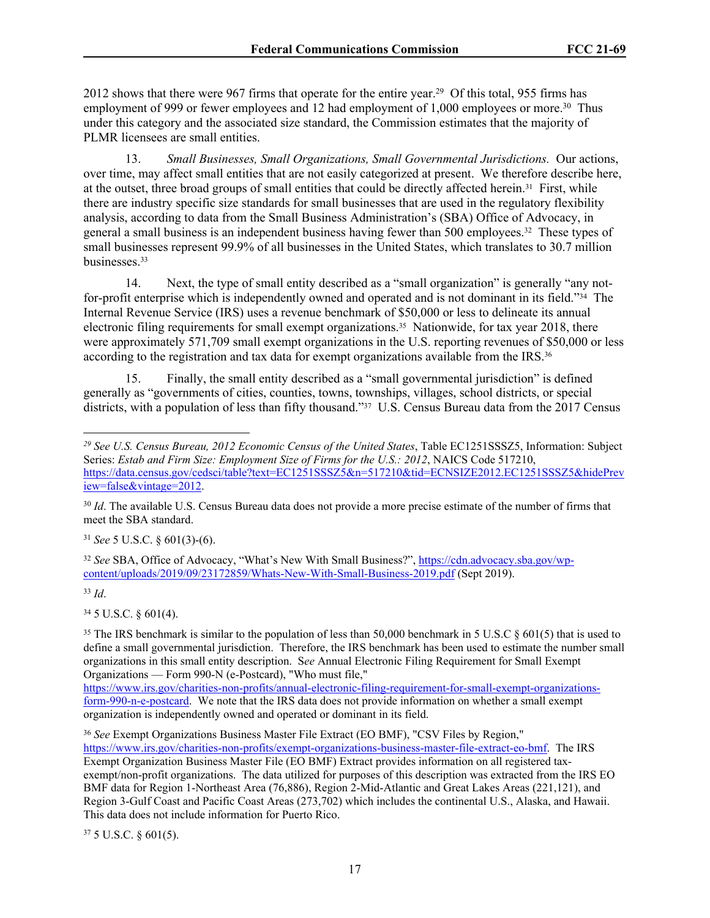2012 shows that there were 967 firms that operate for the entire year.<sup>29</sup> Of this total, 955 firms has employment of 999 or fewer employees and 12 had employment of 1,000 employees or more.<sup>30</sup> Thus under this category and the associated size standard, the Commission estimates that the majority of PLMR licensees are small entities.

13. *Small Businesses, Small Organizations, Small Governmental Jurisdictions.* Our actions, over time, may affect small entities that are not easily categorized at present. We therefore describe here, at the outset, three broad groups of small entities that could be directly affected herein.31 First, while there are industry specific size standards for small businesses that are used in the regulatory flexibility analysis, according to data from the Small Business Administration's (SBA) Office of Advocacy, in general a small business is an independent business having fewer than 500 employees.32 These types of small businesses represent 99.9% of all businesses in the United States, which translates to 30.7 million businesses.<sup>33</sup>

14. Next, the type of small entity described as a "small organization" is generally "any notfor-profit enterprise which is independently owned and operated and is not dominant in its field."34 The Internal Revenue Service (IRS) uses a revenue benchmark of \$50,000 or less to delineate its annual electronic filing requirements for small exempt organizations.35 Nationwide, for tax year 2018, there were approximately 571,709 small exempt organizations in the U.S. reporting revenues of \$50,000 or less according to the registration and tax data for exempt organizations available from the IRS.<sup>36</sup>

15. Finally, the small entity described as a "small governmental jurisdiction" is defined generally as "governments of cities, counties, towns, townships, villages, school districts, or special districts, with a population of less than fifty thousand."<sup>37</sup> U.S. Census Bureau data from the 2017 Census

<sup>31</sup> *See* 5 U.S.C. § 601(3)-(6).

<sup>32</sup> *See* SBA, Office of Advocacy, "What's New With Small Business?", [https://cdn.advocacy.sba.gov/wp](https://cdn.advocacy.sba.gov/wp-content/uploads/2019/09/23172859/Whats-New-With-Small-Business-2019.pdf)[content/uploads/2019/09/23172859/Whats-New-With-Small-Business-2019.pdf](https://cdn.advocacy.sba.gov/wp-content/uploads/2019/09/23172859/Whats-New-With-Small-Business-2019.pdf) (Sept 2019).

<sup>33</sup> *Id*.

<sup>34</sup> 5 U.S.C. § 601(4).

<sup>35</sup> The IRS benchmark is similar to the population of less than 50,000 benchmark in 5 U.S.C  $\frac{8601(5)}{1000}$  that is used to define a small governmental jurisdiction. Therefore, the IRS benchmark has been used to estimate the number small organizations in this small entity description. S*ee* Annual Electronic Filing Requirement for Small Exempt Organizations — Form 990-N (e-Postcard), "Who must file,"

[https://www.irs.gov/charities-non-profits/annual-electronic-filing-requirement-for-small-exempt-organizations](https://www.irs.gov/charities-non-profits/annual-electronic-filing-requirement-for-small-exempt-organizations-form-990-n-e-postcard)[form-990-n-e-postcard](https://www.irs.gov/charities-non-profits/annual-electronic-filing-requirement-for-small-exempt-organizations-form-990-n-e-postcard). We note that the IRS data does not provide information on whether a small exempt organization is independently owned and operated or dominant in its field.

<sup>36</sup> *See* Exempt Organizations Business Master File Extract (EO BMF), "CSV Files by Region," [https://www.irs.gov/charities-non-profits/exempt-organizations-business-master-file-extract-eo-bmf.](https://www.irs.gov/charities-non-profits/exempt-organizations-business-master-file-extract-eo-bmf) The IRS Exempt Organization Business Master File (EO BMF) Extract provides information on all registered taxexempt/non-profit organizations. The data utilized for purposes of this description was extracted from the IRS EO BMF data for Region 1-Northeast Area (76,886), Region 2-Mid-Atlantic and Great Lakes Areas (221,121), and Region 3-Gulf Coast and Pacific Coast Areas (273,702) which includes the continental U.S., Alaska, and Hawaii. This data does not include information for Puerto Rico.

37 5 U.S.C. § 601(5).

*<sup>29</sup> See U.S. Census Bureau, 2012 Economic Census of the United States*, Table EC1251SSSZ5, Information: Subject Series: *Estab and Firm Size: Employment Size of Firms for the U.S.: 2012*, NAICS Code 517210, [https://data.census.gov/cedsci/table?text=EC1251SSSZ5&n=517210&tid=ECNSIZE2012.EC1251SSSZ5&hidePrev](https://data.census.gov/cedsci/table?text=EC1251SSSZ5&n=517210&tid=ECNSIZE2012.EC1251SSSZ5&hidePreview=false&vintage=2012) [iew=false&vintage=2012.](https://data.census.gov/cedsci/table?text=EC1251SSSZ5&n=517210&tid=ECNSIZE2012.EC1251SSSZ5&hidePreview=false&vintage=2012)

<sup>&</sup>lt;sup>30</sup> *Id.* The available U.S. Census Bureau data does not provide a more precise estimate of the number of firms that meet the SBA standard.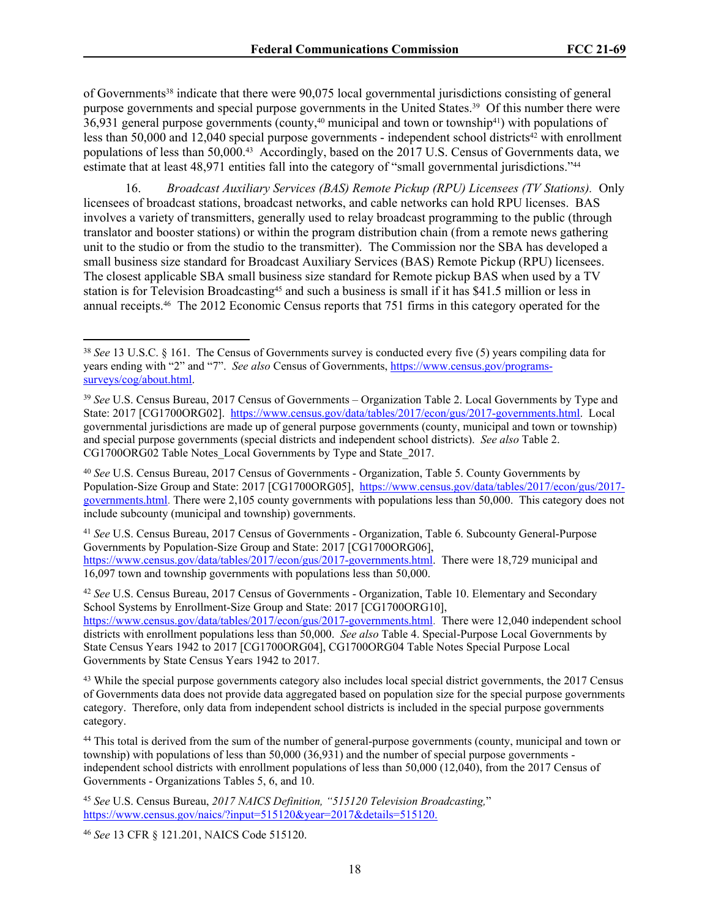of Governments38 indicate that there were 90,075 local governmental jurisdictions consisting of general purpose governments and special purpose governments in the United States.39 Of this number there were  $36,931$  general purpose governments (county,<sup>40</sup> municipal and town or township<sup>41</sup>) with populations of less than 50,000 and 12,040 special purpose governments - independent school districts<sup>42</sup> with enrollment populations of less than 50,000.43 Accordingly, based on the 2017 U.S. Census of Governments data, we estimate that at least 48,971 entities fall into the category of "small governmental jurisdictions."<sup>44</sup>

16. *Broadcast Auxiliary Services (BAS) Remote Pickup (RPU) Licensees (TV Stations).* Only licensees of broadcast stations, broadcast networks, and cable networks can hold RPU licenses. BAS involves a variety of transmitters, generally used to relay broadcast programming to the public (through translator and booster stations) or within the program distribution chain (from a remote news gathering unit to the studio or from the studio to the transmitter). The Commission nor the SBA has developed a small business size standard for Broadcast Auxiliary Services (BAS) Remote Pickup (RPU) licensees. The closest applicable SBA small business size standard for Remote pickup BAS when used by a TV station is for Television Broadcasting<sup>45</sup> and such a business is small if it has \$41.5 million or less in annual receipts.46 The 2012 Economic Census reports that 751 firms in this category operated for the

<sup>41</sup> *See* U.S. Census Bureau, 2017 Census of Governments - Organization, Table 6. Subcounty General-Purpose Governments by Population-Size Group and State: 2017 [CG1700ORG06], <https://www.census.gov/data/tables/2017/econ/gus/2017-governments.html>. There were 18,729 municipal and 16,097 town and township governments with populations less than 50,000.

<sup>42</sup> *See* U.S. Census Bureau, 2017 Census of Governments - Organization, Table 10. Elementary and Secondary School Systems by Enrollment-Size Group and State: 2017 [CG1700ORG10], <https://www.census.gov/data/tables/2017/econ/gus/2017-governments.html>. There were 12,040 independent school districts with enrollment populations less than 50,000. *See also* Table 4. Special-Purpose Local Governments by State Census Years 1942 to 2017 [CG1700ORG04], CG1700ORG04 Table Notes Special Purpose Local Governments by State Census Years 1942 to 2017.

<sup>43</sup> While the special purpose governments category also includes local special district governments, the 2017 Census of Governments data does not provide data aggregated based on population size for the special purpose governments category. Therefore, only data from independent school districts is included in the special purpose governments category.

<sup>44</sup> This total is derived from the sum of the number of general-purpose governments (county, municipal and town or township) with populations of less than 50,000 (36,931) and the number of special purpose governments independent school districts with enrollment populations of less than 50,000 (12,040), from the 2017 Census of Governments - Organizations Tables 5, 6, and 10.

<sup>45</sup> *See* U.S. Census Bureau, *2017 NAICS Definition, "515120 Television Broadcasting,*" [https://www.census.gov/naics/?input=515120&year=2017&details=515120.](https://www.census.gov/naics/?input=515120&year=2017&details=515120)

<sup>46</sup> *See* 13 CFR § 121.201, NAICS Code 515120.

<sup>38</sup> *See* 13 U.S.C. § 161. The Census of Governments survey is conducted every five (5) years compiling data for years ending with "2" and "7". *See also* Census of Governments, [https://www.census.gov/programs](https://www.census.gov/programs-surveys/cog/about.html)[surveys/cog/about.html.](https://www.census.gov/programs-surveys/cog/about.html)

<sup>39</sup> *See* U.S. Census Bureau, 2017 Census of Governments – Organization Table 2. Local Governments by Type and State: 2017 [CG1700ORG02]. <https://www.census.gov/data/tables/2017/econ/gus/2017-governments.html>. Local governmental jurisdictions are made up of general purpose governments (county, municipal and town or township) and special purpose governments (special districts and independent school districts). *See also* Table 2. CG1700ORG02 Table Notes\_Local Governments by Type and State\_2017.

<sup>40</sup> *See* U.S. Census Bureau, 2017 Census of Governments - Organization, Table 5. County Governments by Population-Size Group and State: 2017 [CG1700ORG05], [https://www.census.gov/data/tables/2017/econ/gus/2017](https://www.census.gov/data/tables/2017/econ/gus/2017-governments.html) [governments.html](https://www.census.gov/data/tables/2017/econ/gus/2017-governments.html). There were 2,105 county governments with populations less than 50,000. This category does not include subcounty (municipal and township) governments.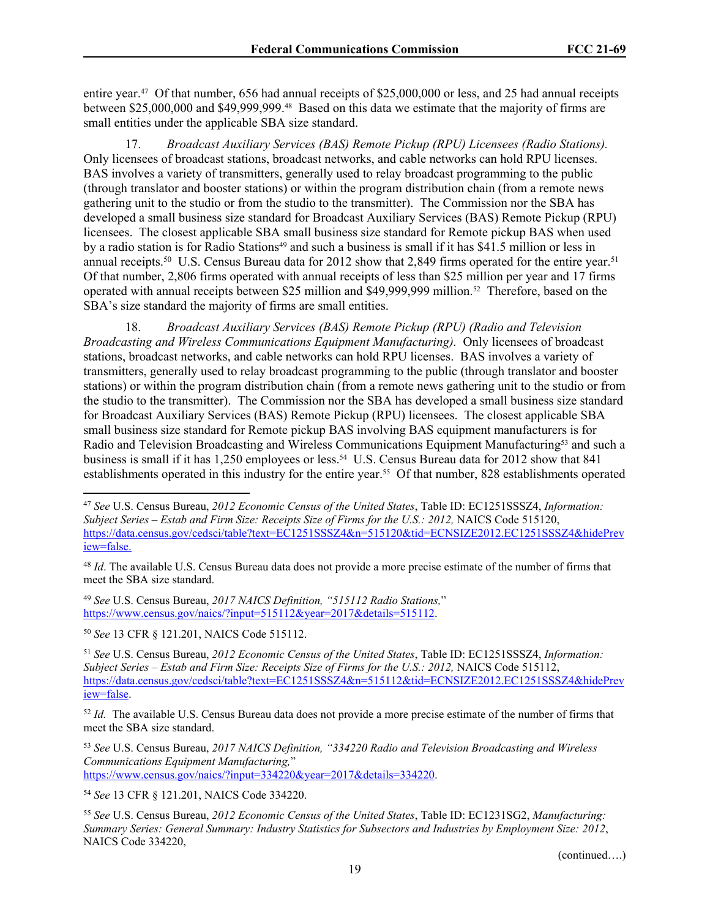entire year.47 Of that number, 656 had annual receipts of \$25,000,000 or less, and 25 had annual receipts between \$25,000,000 and \$49,999,999.48 Based on this data we estimate that the majority of firms are small entities under the applicable SBA size standard.

17. *Broadcast Auxiliary Services (BAS) Remote Pickup (RPU) Licensees (Radio Stations).* Only licensees of broadcast stations, broadcast networks, and cable networks can hold RPU licenses. BAS involves a variety of transmitters, generally used to relay broadcast programming to the public (through translator and booster stations) or within the program distribution chain (from a remote news gathering unit to the studio or from the studio to the transmitter). The Commission nor the SBA has developed a small business size standard for Broadcast Auxiliary Services (BAS) Remote Pickup (RPU) licensees. The closest applicable SBA small business size standard for Remote pickup BAS when used by a radio station is for Radio Stations<sup>49</sup> and such a business is small if it has \$41.5 million or less in annual receipts.<sup>50</sup> U.S. Census Bureau data for 2012 show that 2,849 firms operated for the entire year.<sup>51</sup> Of that number, 2,806 firms operated with annual receipts of less than \$25 million per year and 17 firms operated with annual receipts between \$25 million and \$49,999,999 million.52 Therefore, based on the SBA's size standard the majority of firms are small entities.

18. *Broadcast Auxiliary Services (BAS) Remote Pickup (RPU) (Radio and Television Broadcasting and Wireless Communications Equipment Manufacturing).* Only licensees of broadcast stations, broadcast networks, and cable networks can hold RPU licenses. BAS involves a variety of transmitters, generally used to relay broadcast programming to the public (through translator and booster stations) or within the program distribution chain (from a remote news gathering unit to the studio or from the studio to the transmitter). The Commission nor the SBA has developed a small business size standard for Broadcast Auxiliary Services (BAS) Remote Pickup (RPU) licensees. The closest applicable SBA small business size standard for Remote pickup BAS involving BAS equipment manufacturers is for Radio and Television Broadcasting and Wireless Communications Equipment Manufacturing53 and such a business is small if it has 1,250 employees or less.<sup>54</sup> U.S. Census Bureau data for 2012 show that 841 establishments operated in this industry for the entire year.55 Of that number, 828 establishments operated

<sup>48</sup> *Id*. The available U.S. Census Bureau data does not provide a more precise estimate of the number of firms that meet the SBA size standard.

<sup>49</sup> *See* U.S. Census Bureau, *2017 NAICS Definition, "515112 Radio Stations,*" [https://www.census.gov/naics/?input=515112&year=2017&details=515112.](https://www.census.gov/naics/?input=515112&year=2017&details=5151120)

<sup>50</sup> *See* 13 CFR § 121.201, NAICS Code 515112.

<sup>51</sup> *See* U.S. Census Bureau, *2012 Economic Census of the United States*, Table ID: EC1251SSSZ4, *Information: Subject Series – Estab and Firm Size: Receipts Size of Firms for the U.S.: 2012,* NAICS Code 515112, [https://data.census.gov/cedsci/table?text=EC1251SSSZ4&n=515112&tid=ECNSIZE2012.EC1251SSSZ4&hidePrev](https://data.census.gov/cedsci/table?text=EC1251SSSZ4&n=515112&tid=ECNSIZE2012.EC1251SSSZ4&hidePreview=false) [iew=false.](https://data.census.gov/cedsci/table?text=EC1251SSSZ4&n=515112&tid=ECNSIZE2012.EC1251SSSZ4&hidePreview=false)

<sup>52</sup> *Id.* The available U.S. Census Bureau data does not provide a more precise estimate of the number of firms that meet the SBA size standard.

<sup>53</sup> *See* U.S. Census Bureau, *2017 NAICS Definition, "334220 Radio and Television Broadcasting and Wireless Communications Equipment Manufacturing,*" [https://www.census.gov/naics/?input=334220&year=2017&details=334220.](https://www.census.gov/naics/?input=334220&year=2017&details=334220)

<sup>54</sup> *See* 13 CFR § 121.201, NAICS Code 334220.

<sup>55</sup> *See* U.S. Census Bureau, *2012 Economic Census of the United States*, Table ID: EC1231SG2, *Manufacturing: Summary Series: General Summary: Industry Statistics for Subsectors and Industries by Employment Size: 2012*, NAICS Code 334220,

(continued….)

<sup>47</sup> *See* U.S. Census Bureau, *2012 Economic Census of the United States*, Table ID: EC1251SSSZ4, *Information: Subject Series – Estab and Firm Size: Receipts Size of Firms for the U.S.: 2012,* NAICS Code 515120, [https://data.census.gov/cedsci/table?text=EC1251SSSZ4&n=515120&tid=ECNSIZE2012.EC1251SSSZ4&hidePrev](https://data.census.gov/cedsci/table?text=EC1251SSSZ4&n=515120&tid=ECNSIZE2012.EC1251SSSZ4&hidePreview=false) [iew=false.](https://data.census.gov/cedsci/table?text=EC1251SSSZ4&n=515120&tid=ECNSIZE2012.EC1251SSSZ4&hidePreview=false)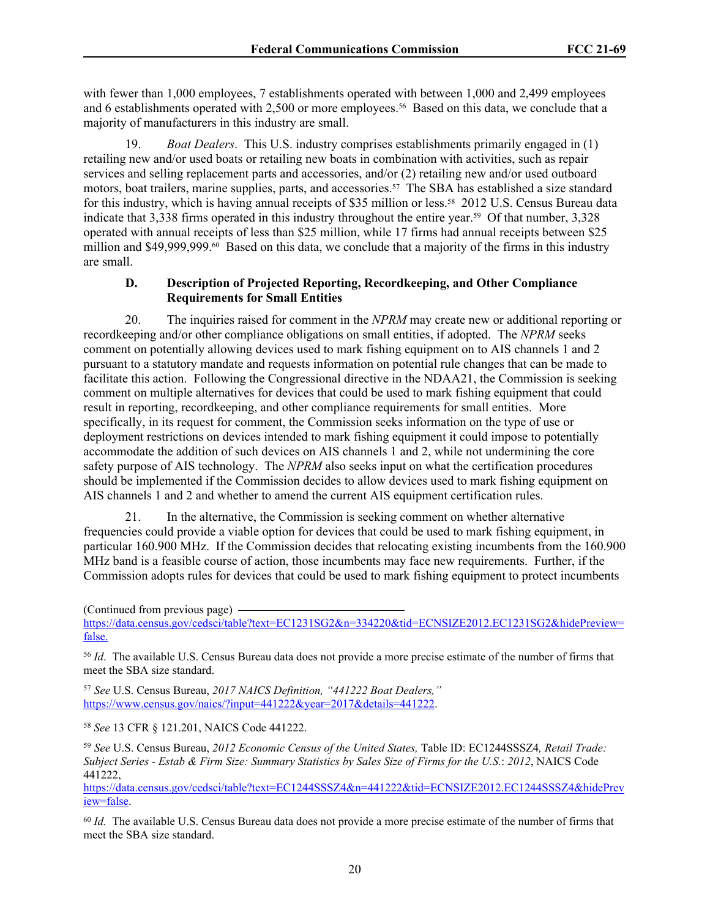with fewer than 1,000 employees, 7 establishments operated with between 1,000 and 2,499 employees and 6 establishments operated with 2,500 or more employees.<sup>56</sup> Based on this data, we conclude that a majority of manufacturers in this industry are small.

19. *Boat Dealers*. This U.S. industry comprises establishments primarily engaged in (1) retailing new and/or used boats or retailing new boats in combination with activities, such as repair services and selling replacement parts and accessories, and/or (2) retailing new and/or used outboard motors, boat trailers, marine supplies, parts, and accessories.57 The SBA has established a size standard for this industry, which is having annual receipts of \$35 million or less.<sup>58</sup> 2012 U.S. Census Bureau data indicate that 3,338 firms operated in this industry throughout the entire year.59 Of that number, 3,328 operated with annual receipts of less than \$25 million, while 17 firms had annual receipts between \$25 million and \$49,999,999. $\omega$  Based on this data, we conclude that a majority of the firms in this industry are small.

## **D. Description of Projected Reporting, Recordkeeping, and Other Compliance Requirements for Small Entities**

20. The inquiries raised for comment in the *NPRM* may create new or additional reporting or recordkeeping and/or other compliance obligations on small entities, if adopted. The *NPRM* seeks comment on potentially allowing devices used to mark fishing equipment on to AIS channels 1 and 2 pursuant to a statutory mandate and requests information on potential rule changes that can be made to facilitate this action. Following the Congressional directive in the NDAA21, the Commission is seeking comment on multiple alternatives for devices that could be used to mark fishing equipment that could result in reporting, recordkeeping, and other compliance requirements for small entities. More specifically, in its request for comment, the Commission seeks information on the type of use or deployment restrictions on devices intended to mark fishing equipment it could impose to potentially accommodate the addition of such devices on AIS channels 1 and 2, while not undermining the core safety purpose of AIS technology. The *NPRM* also seeks input on what the certification procedures should be implemented if the Commission decides to allow devices used to mark fishing equipment on AIS channels 1 and 2 and whether to amend the current AIS equipment certification rules.

21. In the alternative, the Commission is seeking comment on whether alternative frequencies could provide a viable option for devices that could be used to mark fishing equipment, in particular 160.900 MHz. If the Commission decides that relocating existing incumbents from the 160.900 MHz band is a feasible course of action, those incumbents may face new requirements. Further, if the Commission adopts rules for devices that could be used to mark fishing equipment to protect incumbents

(Continued from previous page)

<sup>56</sup> *Id*. The available U.S. Census Bureau data does not provide a more precise estimate of the number of firms that meet the SBA size standard.

<sup>57</sup> *See* U.S. Census Bureau, *2017 NAICS Definition, "441222 Boat Dealers,"* [https://www.census.gov/naics/?input=441222&year=2017&details=441222.](https://www.census.gov/naics/?input=441222&year=2017&details=441222)

<sup>58</sup> *See* 13 CFR § 121.201, NAICS Code 441222.

<sup>59</sup> *See* U.S. Census Bureau, *2012 Economic Census of the United States,* Table ID: EC1244SSSZ4*, Retail Trade: Subject Series - Estab & Firm Size: Summary Statistics by Sales Size of Firms for the U.S.*: *2012*, NAICS Code 441222,

[https://data.census.gov/cedsci/table?text=EC1244SSSZ4&n=441222&tid=ECNSIZE2012.EC1244SSSZ4&hidePrev](https://data.census.gov/cedsci/table?text=EC1244SSSZ4&n=441222&tid=ECNSIZE2012.EC1244SSSZ4&hidePreview=false) [iew=false.](https://data.census.gov/cedsci/table?text=EC1244SSSZ4&n=441222&tid=ECNSIZE2012.EC1244SSSZ4&hidePreview=false)

<sup>60</sup> *Id.* The available U.S. Census Bureau data does not provide a more precise estimate of the number of firms that meet the SBA size standard.

[https://data.census.gov/cedsci/table?text=EC1231SG2&n=334220&tid=ECNSIZE2012.EC1231SG2&hidePreview=](https://data.census.gov/cedsci/table?text=EC1231SG2&n=334220&tid=ECNSIZE2012.EC1231SG2&hidePreview=false) [false.](https://data.census.gov/cedsci/table?text=EC1231SG2&n=334220&tid=ECNSIZE2012.EC1231SG2&hidePreview=false)